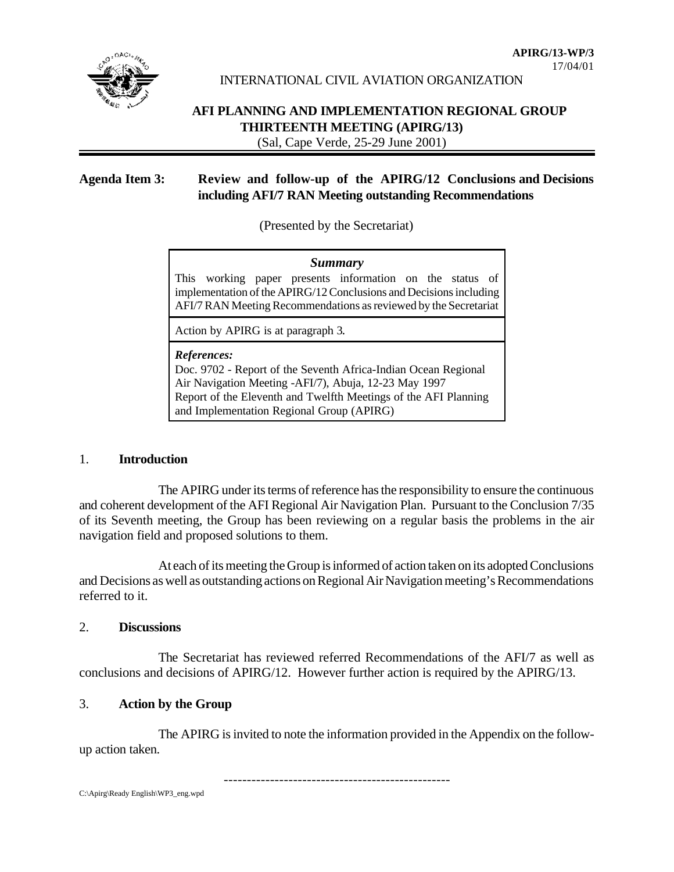

INTERNATIONAL CIVIL AVIATION ORGANIZATION

# **AFI PLANNING AND IMPLEMENTATION REGIONAL GROUP THIRTEENTH MEETING (APIRG/13)**

(Sal, Cape Verde, 25-29 June 2001)

# **Agenda Item 3: Review and follow-up of the APIRG/12 Conclusions and Decisions including AFI/7 RAN Meeting outstanding Recommendations**

(Presented by the Secretariat)

### *Summary*

This working paper presents information on the status of implementation of the APIRG/12 Conclusions and Decisions including AFI/7 RAN Meeting Recommendations as reviewed by the Secretariat

Action by APIRG is at paragraph 3.

#### *References:*

Doc. 9702 - Report of the Seventh Africa-Indian Ocean Regional Air Navigation Meeting -AFI/7), Abuja, 12-23 May 1997 Report of the Eleventh and Twelfth Meetings of the AFI Planning and Implementation Regional Group (APIRG)

### 1. **Introduction**

The APIRG under its terms of reference has the responsibility to ensure the continuous and coherent development of the AFI Regional Air Navigation Plan. Pursuant to the Conclusion 7/35 of its Seventh meeting, the Group has been reviewing on a regular basis the problems in the air navigation field and proposed solutions to them.

At each of its meeting the Group is informed of action taken on its adopted Conclusions and Decisions as well as outstanding actions on Regional Air Navigation meeting's Recommendations referred to it.

### 2. **Discussions**

The Secretariat has reviewed referred Recommendations of the AFI/7 as well as conclusions and decisions of APIRG/12. However further action is required by the APIRG/13.

### 3. **Action by the Group**

The APIRG is invited to note the information provided in the Appendix on the followup action taken.

-------------------------------------------------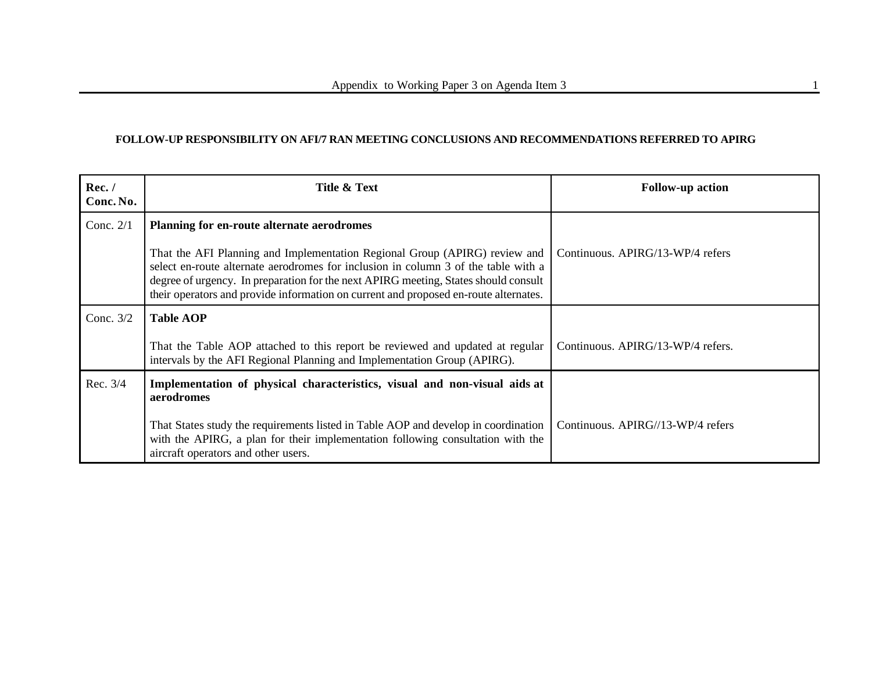### **FOLLOW-UP RESPONSIBILITY ON AFI/7 RAN MEETING CONCLUSIONS AND RECOMMENDATIONS REFERRED TO APIRG**

| Rec./<br>Conc. No. | Title & Text                                                                                                                                                                                                                                                                                                                                    | <b>Follow-up action</b>           |
|--------------------|-------------------------------------------------------------------------------------------------------------------------------------------------------------------------------------------------------------------------------------------------------------------------------------------------------------------------------------------------|-----------------------------------|
| Conc. $2/1$        | Planning for en-route alternate aerodromes                                                                                                                                                                                                                                                                                                      |                                   |
|                    | That the AFI Planning and Implementation Regional Group (APIRG) review and<br>select en-route alternate aerodromes for inclusion in column 3 of the table with a<br>degree of urgency. In preparation for the next APIRG meeting, States should consult<br>their operators and provide information on current and proposed en-route alternates. | Continuous. APIRG/13-WP/4 refers  |
| Conc. $3/2$        | <b>Table AOP</b>                                                                                                                                                                                                                                                                                                                                |                                   |
|                    | That the Table AOP attached to this report be reviewed and updated at regular<br>intervals by the AFI Regional Planning and Implementation Group (APIRG).                                                                                                                                                                                       | Continuous. APIRG/13-WP/4 refers. |
| Rec. 3/4           | Implementation of physical characteristics, visual and non-visual aids at<br>aerodromes                                                                                                                                                                                                                                                         |                                   |
|                    | That States study the requirements listed in Table AOP and develop in coordination<br>with the APIRG, a plan for their implementation following consultation with the<br>aircraft operators and other users.                                                                                                                                    | Continuous. APIRG//13-WP/4 refers |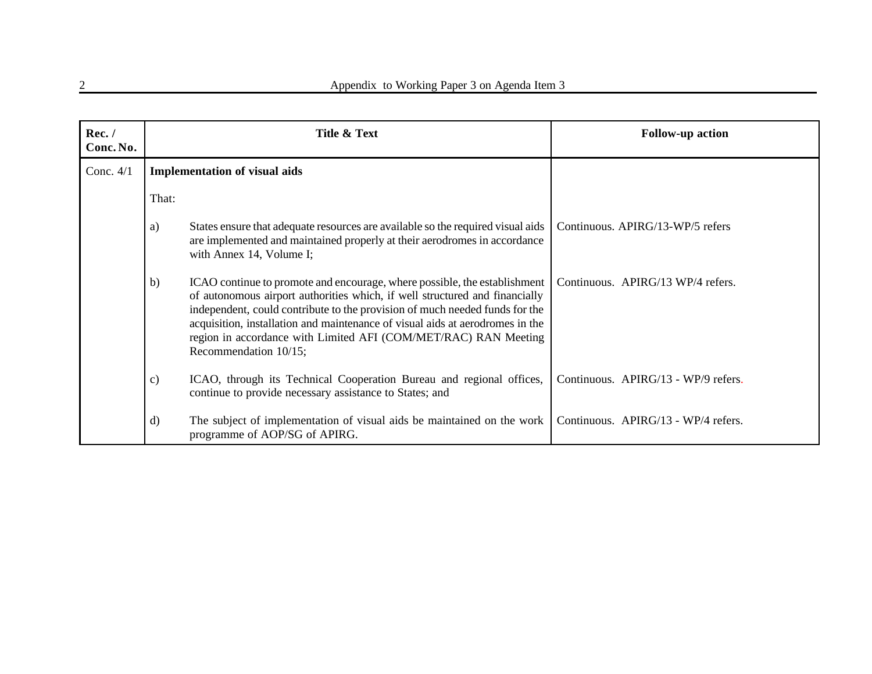| Rec./<br>Conc. No. |                                      | Title & Text                                                                                                                                                                                                                                                                                                                                                                                                         | <b>Follow-up action</b>             |
|--------------------|--------------------------------------|----------------------------------------------------------------------------------------------------------------------------------------------------------------------------------------------------------------------------------------------------------------------------------------------------------------------------------------------------------------------------------------------------------------------|-------------------------------------|
| Conc. $4/1$        | <b>Implementation of visual aids</b> |                                                                                                                                                                                                                                                                                                                                                                                                                      |                                     |
|                    | That:                                |                                                                                                                                                                                                                                                                                                                                                                                                                      |                                     |
|                    | a)                                   | States ensure that adequate resources are available so the required visual aids<br>are implemented and maintained properly at their aerodromes in accordance<br>with Annex 14, Volume I;                                                                                                                                                                                                                             | Continuous. APIRG/13-WP/5 refers    |
|                    | b)                                   | ICAO continue to promote and encourage, where possible, the establishment<br>of autonomous airport authorities which, if well structured and financially<br>independent, could contribute to the provision of much needed funds for the<br>acquisition, installation and maintenance of visual aids at aerodromes in the<br>region in accordance with Limited AFI (COM/MET/RAC) RAN Meeting<br>Recommendation 10/15; | Continuous. APIRG/13 WP/4 refers.   |
|                    | $\mathbf{c})$                        | ICAO, through its Technical Cooperation Bureau and regional offices,<br>continue to provide necessary assistance to States; and                                                                                                                                                                                                                                                                                      | Continuous. APIRG/13 - WP/9 refers. |
|                    | $\mathbf{d}$                         | The subject of implementation of visual aids be maintained on the work<br>programme of AOP/SG of APIRG.                                                                                                                                                                                                                                                                                                              | Continuous. APIRG/13 - WP/4 refers. |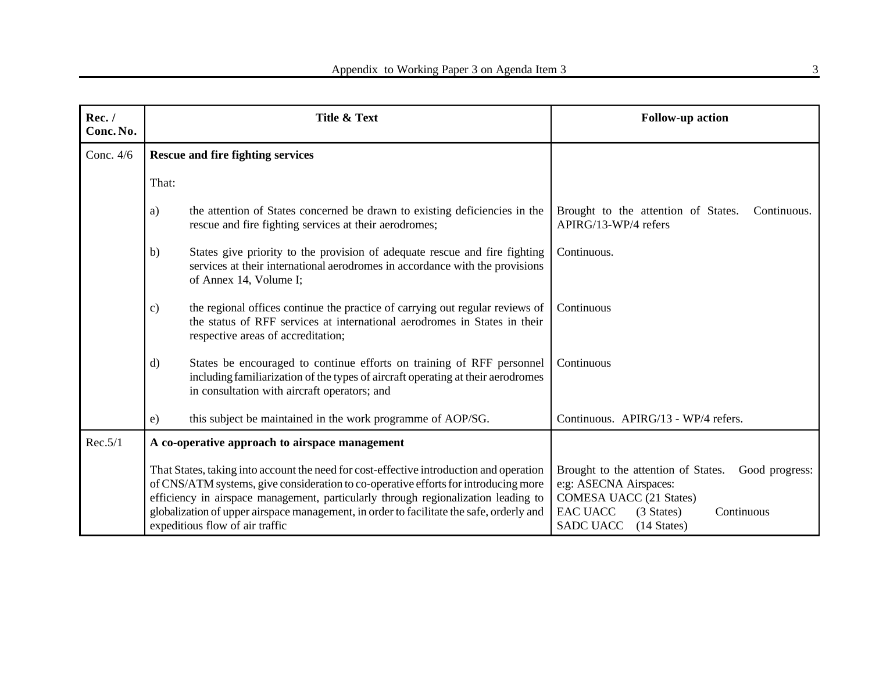| Rec./<br>Conc. No. | Title & Text                                                                                                                                                                                                                                                                                                                                                                                        |                                                                                                                                                                                                           | <b>Follow-up action</b>                                                                                                                                                                                |
|--------------------|-----------------------------------------------------------------------------------------------------------------------------------------------------------------------------------------------------------------------------------------------------------------------------------------------------------------------------------------------------------------------------------------------------|-----------------------------------------------------------------------------------------------------------------------------------------------------------------------------------------------------------|--------------------------------------------------------------------------------------------------------------------------------------------------------------------------------------------------------|
| Conc. 4/6          | <b>Rescue and fire fighting services</b>                                                                                                                                                                                                                                                                                                                                                            |                                                                                                                                                                                                           |                                                                                                                                                                                                        |
|                    | That:                                                                                                                                                                                                                                                                                                                                                                                               |                                                                                                                                                                                                           |                                                                                                                                                                                                        |
|                    | a)                                                                                                                                                                                                                                                                                                                                                                                                  | the attention of States concerned be drawn to existing deficiencies in the<br>rescue and fire fighting services at their aerodromes;                                                                      | Brought to the attention of States.<br>Continuous.<br>APIRG/13-WP/4 refers                                                                                                                             |
|                    | b)                                                                                                                                                                                                                                                                                                                                                                                                  | States give priority to the provision of adequate rescue and fire fighting<br>services at their international aerodromes in accordance with the provisions<br>of Annex 14, Volume I;                      | Continuous.                                                                                                                                                                                            |
|                    | c)                                                                                                                                                                                                                                                                                                                                                                                                  | the regional offices continue the practice of carrying out regular reviews of<br>the status of RFF services at international aerodromes in States in their<br>respective areas of accreditation;          | Continuous                                                                                                                                                                                             |
|                    | $\mathbf{d}$                                                                                                                                                                                                                                                                                                                                                                                        | States be encouraged to continue efforts on training of RFF personnel<br>including familiarization of the types of aircraft operating at their aerodromes<br>in consultation with aircraft operators; and | Continuous                                                                                                                                                                                             |
|                    | e)                                                                                                                                                                                                                                                                                                                                                                                                  | this subject be maintained in the work programme of AOP/SG.                                                                                                                                               | Continuous. APIRG/13 - WP/4 refers.                                                                                                                                                                    |
| Rec.5/1            | A co-operative approach to airspace management                                                                                                                                                                                                                                                                                                                                                      |                                                                                                                                                                                                           |                                                                                                                                                                                                        |
|                    | That States, taking into account the need for cost-effective introduction and operation<br>of CNS/ATM systems, give consideration to co-operative efforts for introducing more<br>efficiency in airspace management, particularly through regionalization leading to<br>globalization of upper airspace management, in order to facilitate the safe, orderly and<br>expeditious flow of air traffic |                                                                                                                                                                                                           | Brought to the attention of States.<br>Good progress:<br>e:g: ASECNA Airspaces:<br><b>COMESA UACC (21 States)</b><br>EAC UACC<br>(3 States)<br>Continuous<br><b>SADC UACC</b><br>$(14 \text{ States})$ |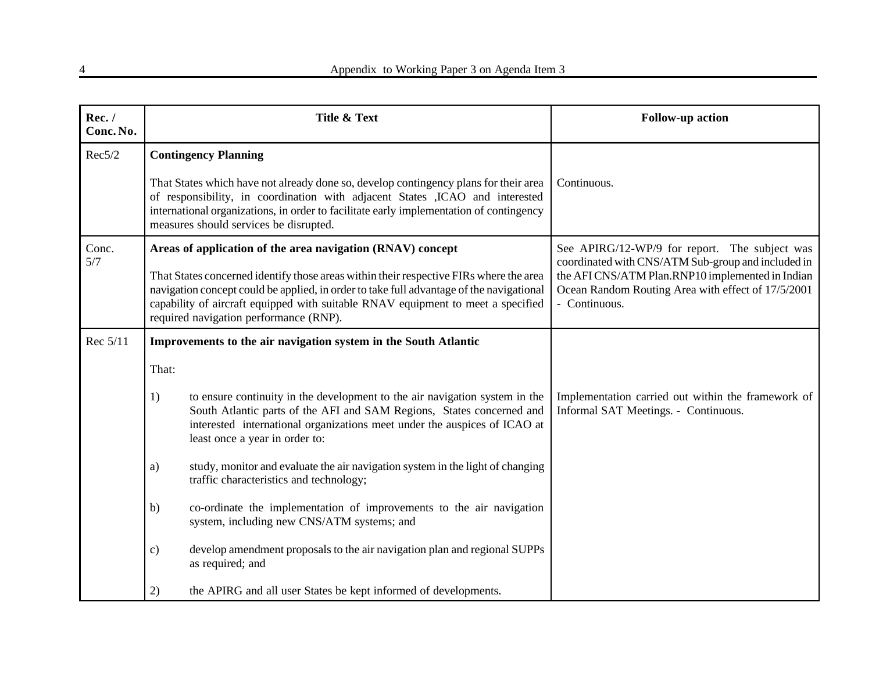| Rec./<br>Conc. No. | Title & Text                                                                                                                                                                                                                                                                                                     | <b>Follow-up action</b>                                                                                                 |
|--------------------|------------------------------------------------------------------------------------------------------------------------------------------------------------------------------------------------------------------------------------------------------------------------------------------------------------------|-------------------------------------------------------------------------------------------------------------------------|
| Rec5/2             | <b>Contingency Planning</b>                                                                                                                                                                                                                                                                                      |                                                                                                                         |
|                    | That States which have not already done so, develop contingency plans for their area<br>of responsibility, in coordination with adjacent States , ICAO and interested<br>international organizations, in order to facilitate early implementation of contingency<br>measures should services be disrupted.       | Continuous.                                                                                                             |
| Conc.<br>5/7       | Areas of application of the area navigation (RNAV) concept                                                                                                                                                                                                                                                       | See APIRG/12-WP/9 for report. The subject was<br>coordinated with CNS/ATM Sub-group and included in                     |
|                    | That States concerned identify those areas within their respective FIRs where the area<br>navigation concept could be applied, in order to take full advantage of the navigational<br>capability of aircraft equipped with suitable RNAV equipment to meet a specified<br>required navigation performance (RNP). | the AFI CNS/ATM Plan.RNP10 implemented in Indian<br>Ocean Random Routing Area with effect of 17/5/2001<br>- Continuous. |
| Rec 5/11           | Improvements to the air navigation system in the South Atlantic                                                                                                                                                                                                                                                  |                                                                                                                         |
|                    | That:                                                                                                                                                                                                                                                                                                            |                                                                                                                         |
|                    | to ensure continuity in the development to the air navigation system in the<br>1)<br>South Atlantic parts of the AFI and SAM Regions, States concerned and<br>interested international organizations meet under the auspices of ICAO at<br>least once a year in order to:                                        | Implementation carried out within the framework of<br>Informal SAT Meetings. - Continuous.                              |
|                    | study, monitor and evaluate the air navigation system in the light of changing<br>a)<br>traffic characteristics and technology;                                                                                                                                                                                  |                                                                                                                         |
|                    | co-ordinate the implementation of improvements to the air navigation<br>b)<br>system, including new CNS/ATM systems; and                                                                                                                                                                                         |                                                                                                                         |
|                    | develop amendment proposals to the air navigation plan and regional SUPPs<br>$\mathbf{c})$<br>as required; and                                                                                                                                                                                                   |                                                                                                                         |
|                    | 2)<br>the APIRG and all user States be kept informed of developments.                                                                                                                                                                                                                                            |                                                                                                                         |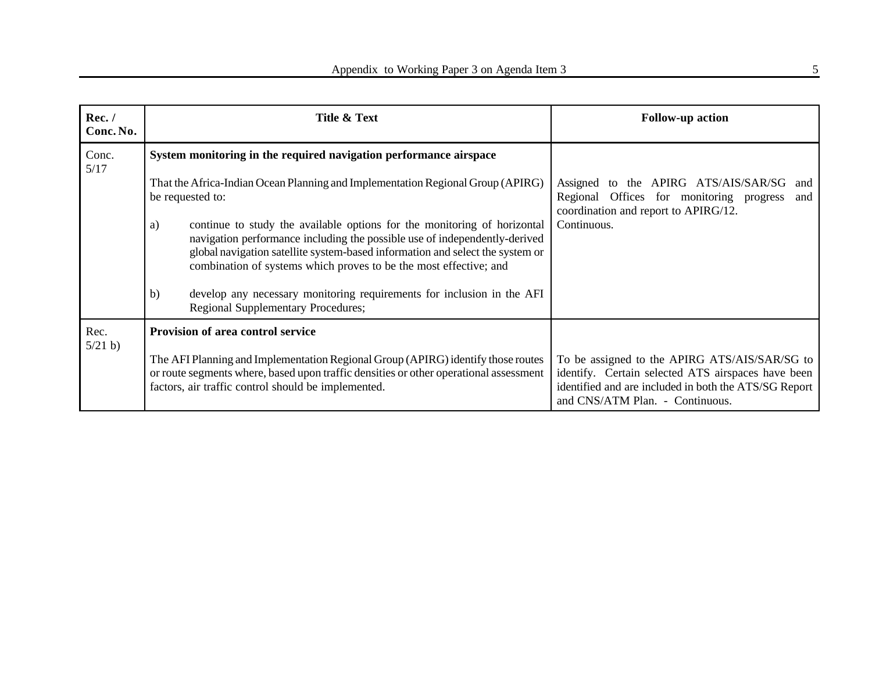| Rec./<br>Conc. No. | Title & Text                                                                                                                                                                                                                                                                                                       | <b>Follow-up action</b>                                                                                                                                                                         |
|--------------------|--------------------------------------------------------------------------------------------------------------------------------------------------------------------------------------------------------------------------------------------------------------------------------------------------------------------|-------------------------------------------------------------------------------------------------------------------------------------------------------------------------------------------------|
| Conc.<br>5/17      | System monitoring in the required navigation performance airspace                                                                                                                                                                                                                                                  |                                                                                                                                                                                                 |
|                    | That the Africa-Indian Ocean Planning and Implementation Regional Group (APIRG)<br>be requested to:                                                                                                                                                                                                                | Assigned to the APIRG ATS/AIS/SAR/SG<br>and<br>Regional Offices for monitoring progress<br>and<br>coordination and report to APIRG/12.                                                          |
|                    | continue to study the available options for the monitoring of horizontal<br>a)<br>navigation performance including the possible use of independently-derived<br>global navigation satellite system-based information and select the system or<br>combination of systems which proves to be the most effective; and | Continuous.                                                                                                                                                                                     |
|                    | develop any necessary monitoring requirements for inclusion in the AFI<br>b)<br><b>Regional Supplementary Procedures;</b>                                                                                                                                                                                          |                                                                                                                                                                                                 |
| Rec.<br>5/21 b     | Provision of area control service                                                                                                                                                                                                                                                                                  |                                                                                                                                                                                                 |
|                    | The AFI Planning and Implementation Regional Group (APIRG) identify those routes<br>or route segments where, based upon traffic densities or other operational assessment<br>factors, air traffic control should be implemented.                                                                                   | To be assigned to the APIRG ATS/AIS/SAR/SG to<br>identify. Certain selected ATS airspaces have been<br>identified and are included in both the ATS/SG Report<br>and CNS/ATM Plan. - Continuous. |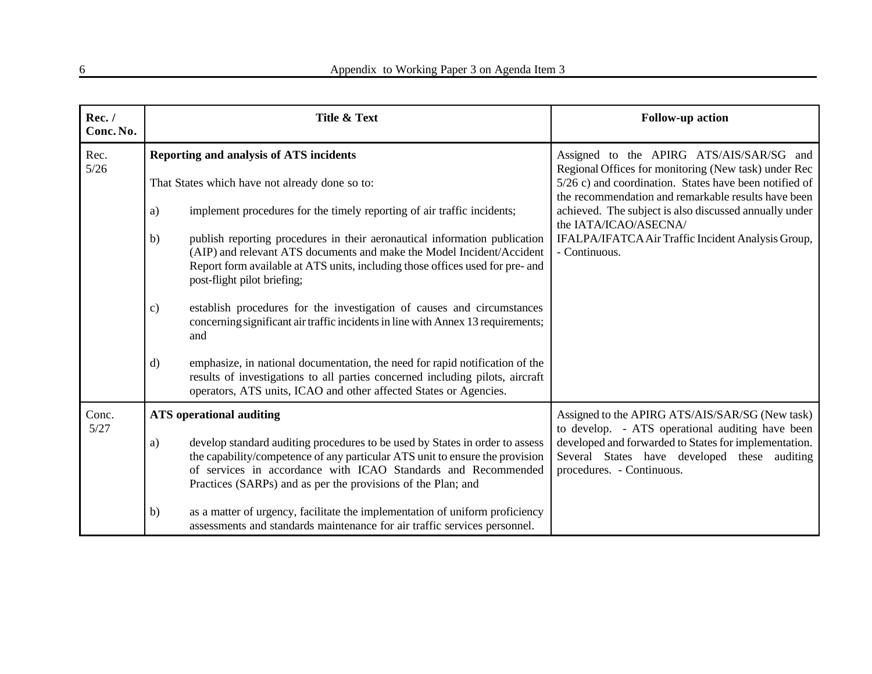| Rec./<br>Conc. No. | <b>Title &amp; Text</b>                                                                                                                                                                                                                                                                             | <b>Follow-up action</b>                                                                                                            |  |
|--------------------|-----------------------------------------------------------------------------------------------------------------------------------------------------------------------------------------------------------------------------------------------------------------------------------------------------|------------------------------------------------------------------------------------------------------------------------------------|--|
| Rec.<br>$5/26$     | Reporting and analysis of ATS incidents                                                                                                                                                                                                                                                             | Assigned to the APIRG ATS/AIS/SAR/SG and<br>Regional Offices for monitoring (New task) under Rec                                   |  |
|                    | That States which have not already done so to:                                                                                                                                                                                                                                                      | $5/26$ c) and coordination. States have been notified of<br>the recommendation and remarkable results have been                    |  |
|                    | implement procedures for the timely reporting of air traffic incidents;<br>a)                                                                                                                                                                                                                       | achieved. The subject is also discussed annually under<br>the IATA/ICAO/ASECNA/                                                    |  |
|                    | publish reporting procedures in their aeronautical information publication<br>b)<br>(AIP) and relevant ATS documents and make the Model Incident/Accident<br>Report form available at ATS units, including those offices used for pre- and<br>post-flight pilot briefing;                           | IFALPA/IFATCA Air Traffic Incident Analysis Group,<br>- Continuous.                                                                |  |
|                    | establish procedures for the investigation of causes and circumstances<br>$\mathbf{c})$<br>concerning significant air traffic incidents in line with Annex 13 requirements;<br>and                                                                                                                  |                                                                                                                                    |  |
|                    | emphasize, in national documentation, the need for rapid notification of the<br>$\mathbf{d}$<br>results of investigations to all parties concerned including pilots, aircraft<br>operators, ATS units, ICAO and other affected States or Agencies.                                                  |                                                                                                                                    |  |
| Conc.<br>5/27      | <b>ATS</b> operational auditing                                                                                                                                                                                                                                                                     | Assigned to the APIRG ATS/AIS/SAR/SG (New task)<br>to develop. - ATS operational auditing have been                                |  |
|                    | develop standard auditing procedures to be used by States in order to assess<br>a)<br>the capability/competence of any particular ATS unit to ensure the provision<br>of services in accordance with ICAO Standards and Recommended<br>Practices (SARPs) and as per the provisions of the Plan; and | developed and forwarded to States for implementation.<br>Several States have developed these auditing<br>procedures. - Continuous. |  |
|                    | as a matter of urgency, facilitate the implementation of uniform proficiency<br>b)<br>assessments and standards maintenance for air traffic services personnel.                                                                                                                                     |                                                                                                                                    |  |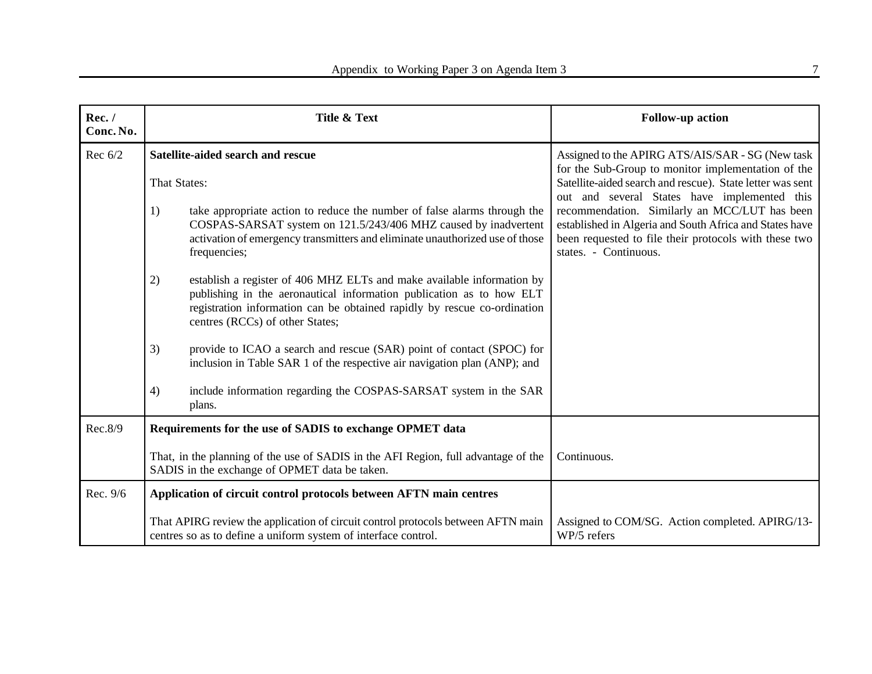| Rec./<br>Conc. No. | Title & Text                                                                                                                                                                                                                                                        | <b>Follow-up action</b>                                                                                                                                                                    |  |  |
|--------------------|---------------------------------------------------------------------------------------------------------------------------------------------------------------------------------------------------------------------------------------------------------------------|--------------------------------------------------------------------------------------------------------------------------------------------------------------------------------------------|--|--|
| Rec $6/2$          | Satellite-aided search and rescue                                                                                                                                                                                                                                   | Assigned to the APIRG ATS/AIS/SAR - SG (New task<br>for the Sub-Group to monitor implementation of the                                                                                     |  |  |
|                    | That States:                                                                                                                                                                                                                                                        | Satellite-aided search and rescue). State letter was sent<br>out and several States have implemented this                                                                                  |  |  |
|                    | take appropriate action to reduce the number of false alarms through the<br>1)<br>COSPAS-SARSAT system on 121.5/243/406 MHZ caused by inadvertent<br>activation of emergency transmitters and eliminate unauthorized use of those<br>frequencies;                   | recommendation. Similarly an MCC/LUT has been<br>established in Algeria and South Africa and States have<br>been requested to file their protocols with these two<br>states. - Continuous. |  |  |
|                    | establish a register of 406 MHZ ELTs and make available information by<br>2)<br>publishing in the aeronautical information publication as to how ELT<br>registration information can be obtained rapidly by rescue co-ordination<br>centres (RCCs) of other States; |                                                                                                                                                                                            |  |  |
|                    | provide to ICAO a search and rescue (SAR) point of contact (SPOC) for<br>3)<br>inclusion in Table SAR 1 of the respective air navigation plan (ANP); and                                                                                                            |                                                                                                                                                                                            |  |  |
|                    | include information regarding the COSPAS-SARSAT system in the SAR<br>4)<br>plans.                                                                                                                                                                                   |                                                                                                                                                                                            |  |  |
| Rec.8/9            | Requirements for the use of SADIS to exchange OPMET data                                                                                                                                                                                                            |                                                                                                                                                                                            |  |  |
|                    | That, in the planning of the use of SADIS in the AFI Region, full advantage of the<br>SADIS in the exchange of OPMET data be taken.                                                                                                                                 | Continuous.                                                                                                                                                                                |  |  |
| Rec. 9/6           | Application of circuit control protocols between AFTN main centres                                                                                                                                                                                                  |                                                                                                                                                                                            |  |  |
|                    | That APIRG review the application of circuit control protocols between AFTN main<br>centres so as to define a uniform system of interface control.                                                                                                                  | Assigned to COM/SG. Action completed. APIRG/13-<br>WP/5 refers                                                                                                                             |  |  |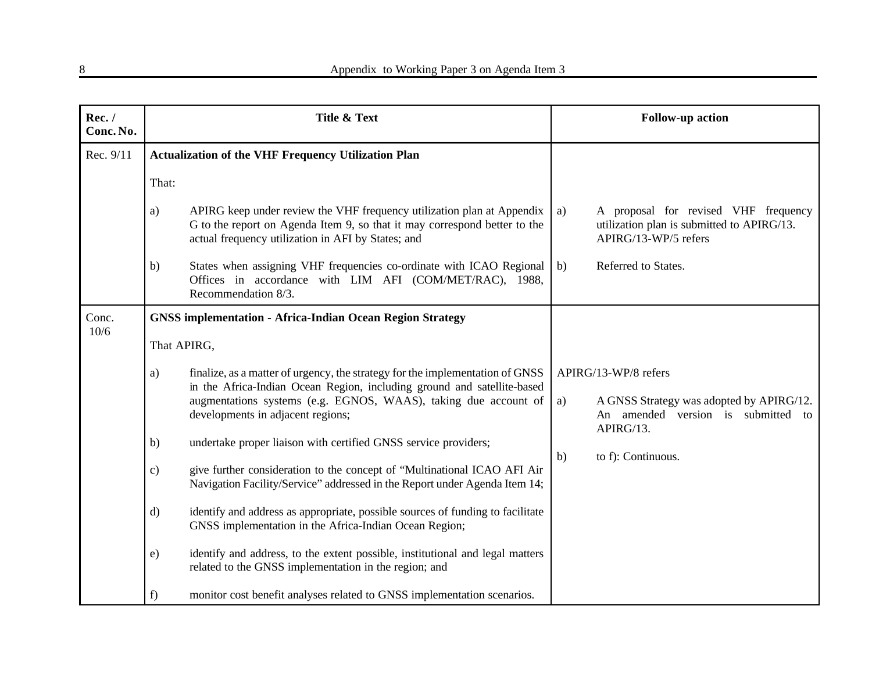| Rec./<br>Conc. No. | Title & Text                                                                                                                                                                                                                                                           | <b>Follow-up action</b>                                                                                                   |
|--------------------|------------------------------------------------------------------------------------------------------------------------------------------------------------------------------------------------------------------------------------------------------------------------|---------------------------------------------------------------------------------------------------------------------------|
| Rec. 9/11          | <b>Actualization of the VHF Frequency Utilization Plan</b>                                                                                                                                                                                                             |                                                                                                                           |
|                    | That:                                                                                                                                                                                                                                                                  |                                                                                                                           |
|                    | APIRG keep under review the VHF frequency utilization plan at Appendix<br>a)<br>G to the report on Agenda Item 9, so that it may correspond better to the<br>actual frequency utilization in AFI by States; and                                                        | A proposal for revised VHF frequency<br>a)<br>utilization plan is submitted to APIRG/13.<br>APIRG/13-WP/5 refers          |
|                    | States when assigning VHF frequencies co-ordinate with ICAO Regional<br>b)<br>Offices in accordance with LIM AFI (COM/MET/RAC), 1988,<br>Recommendation 8/3.                                                                                                           | Referred to States.<br>b)                                                                                                 |
| Conc.<br>10/6      | <b>GNSS implementation - Africa-Indian Ocean Region Strategy</b>                                                                                                                                                                                                       |                                                                                                                           |
|                    | That APIRG,                                                                                                                                                                                                                                                            |                                                                                                                           |
|                    | finalize, as a matter of urgency, the strategy for the implementation of GNSS<br>a)<br>in the Africa-Indian Ocean Region, including ground and satellite-based<br>augmentations systems (e.g. EGNOS, WAAS), taking due account of<br>developments in adjacent regions; | APIRG/13-WP/8 refers<br>A GNSS Strategy was adopted by APIRG/12.<br>a)<br>An amended version is submitted to<br>APIRG/13. |
|                    | undertake proper liaison with certified GNSS service providers;<br>b)                                                                                                                                                                                                  |                                                                                                                           |
|                    | give further consideration to the concept of "Multinational ICAO AFI Air<br>$\mathbf{c})$<br>Navigation Facility/Service" addressed in the Report under Agenda Item 14;                                                                                                | to f): Continuous.<br>b)                                                                                                  |
|                    | identify and address as appropriate, possible sources of funding to facilitate<br>$\mathbf{d}$<br>GNSS implementation in the Africa-Indian Ocean Region;                                                                                                               |                                                                                                                           |
|                    | identify and address, to the extent possible, institutional and legal matters<br>e)<br>related to the GNSS implementation in the region; and                                                                                                                           |                                                                                                                           |
|                    | monitor cost benefit analyses related to GNSS implementation scenarios.<br>f)                                                                                                                                                                                          |                                                                                                                           |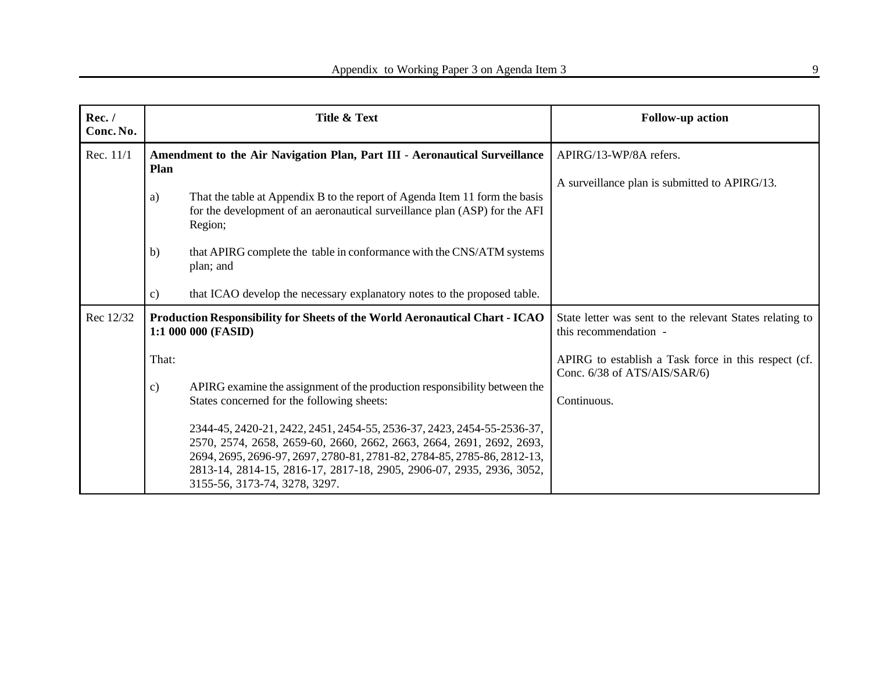| Rec./<br>Conc. No. | Title & Text                                                                                                                                                                                                                                                                                                                       | <b>Follow-up action</b>                                                              |
|--------------------|------------------------------------------------------------------------------------------------------------------------------------------------------------------------------------------------------------------------------------------------------------------------------------------------------------------------------------|--------------------------------------------------------------------------------------|
| Rec. 11/1          | Amendment to the Air Navigation Plan, Part III - Aeronautical Surveillance<br><b>Plan</b>                                                                                                                                                                                                                                          | APIRG/13-WP/8A refers.                                                               |
|                    | That the table at Appendix B to the report of Agenda Item 11 form the basis<br>a)<br>for the development of an aeronautical surveillance plan (ASP) for the AFI<br>Region;                                                                                                                                                         | A surveillance plan is submitted to APIRG/13.                                        |
|                    | that APIRG complete the table in conformance with the CNS/ATM systems<br>$\mathbf{b}$<br>plan; and                                                                                                                                                                                                                                 |                                                                                      |
|                    | that ICAO develop the necessary explanatory notes to the proposed table.<br>c)                                                                                                                                                                                                                                                     |                                                                                      |
| Rec 12/32          | Production Responsibility for Sheets of the World Aeronautical Chart - ICAO<br>1:1 000 000 (FASID)                                                                                                                                                                                                                                 | State letter was sent to the relevant States relating to<br>this recommendation -    |
|                    | That:                                                                                                                                                                                                                                                                                                                              | APIRG to establish a Task force in this respect (cf.<br>Conc. 6/38 of ATS/AIS/SAR/6) |
|                    | APIRG examine the assignment of the production responsibility between the<br>$\mathbf{c})$<br>States concerned for the following sheets:                                                                                                                                                                                           | Continuous.                                                                          |
|                    | 2344-45, 2420-21, 2422, 2451, 2454-55, 2536-37, 2423, 2454-55-2536-37,<br>2570, 2574, 2658, 2659-60, 2660, 2662, 2663, 2664, 2691, 2692, 2693,<br>2694, 2695, 2696-97, 2697, 2780-81, 2781-82, 2784-85, 2785-86, 2812-13,<br>2813-14, 2814-15, 2816-17, 2817-18, 2905, 2906-07, 2935, 2936, 3052,<br>3155-56, 3173-74, 3278, 3297. |                                                                                      |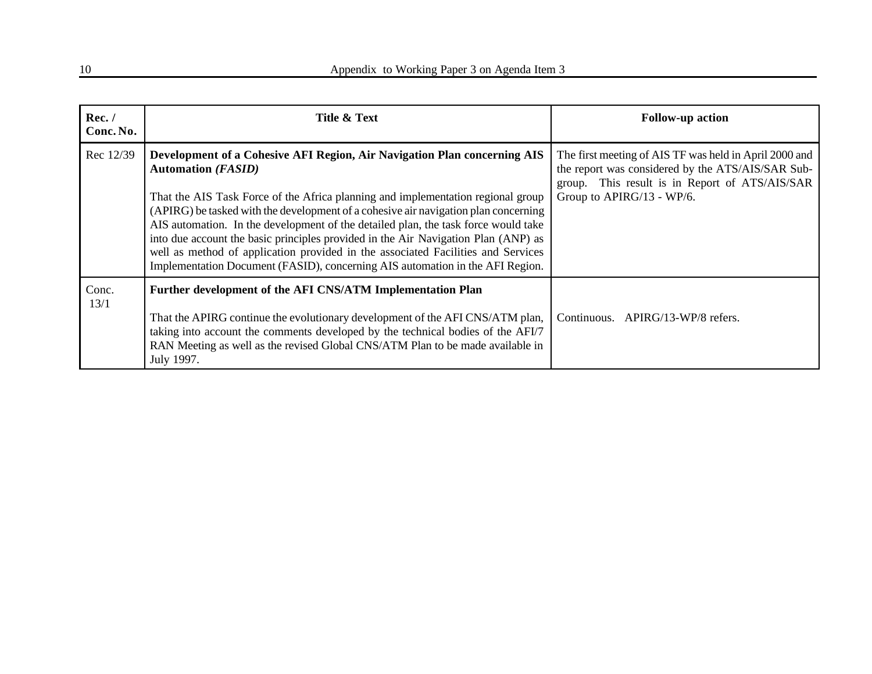| Rec./<br>Conc. No. | Title & Text                                                                                                                                                                                                                                                                                                                                                                                                                                                                                                                                                                                                                      | <b>Follow-up action</b>                                                                                                                                                                    |
|--------------------|-----------------------------------------------------------------------------------------------------------------------------------------------------------------------------------------------------------------------------------------------------------------------------------------------------------------------------------------------------------------------------------------------------------------------------------------------------------------------------------------------------------------------------------------------------------------------------------------------------------------------------------|--------------------------------------------------------------------------------------------------------------------------------------------------------------------------------------------|
| Rec 12/39          | Development of a Cohesive AFI Region, Air Navigation Plan concerning AIS<br><b>Automation (FASID)</b><br>That the AIS Task Force of the Africa planning and implementation regional group<br>(APIRG) be tasked with the development of a cohesive air navigation plan concerning<br>AIS automation. In the development of the detailed plan, the task force would take<br>into due account the basic principles provided in the Air Navigation Plan (ANP) as<br>well as method of application provided in the associated Facilities and Services<br>Implementation Document (FASID), concerning AIS automation in the AFI Region. | The first meeting of AIS TF was held in April 2000 and<br>the report was considered by the ATS/AIS/SAR Sub-<br>group. This result is in Report of ATS/AIS/SAR<br>Group to APIRG/13 - WP/6. |
| Conc.<br>13/1      | Further development of the AFI CNS/ATM Implementation Plan<br>That the APIRG continue the evolutionary development of the AFI CNS/ATM plan,<br>taking into account the comments developed by the technical bodies of the AFI/7<br>RAN Meeting as well as the revised Global CNS/ATM Plan to be made available in<br>July 1997.                                                                                                                                                                                                                                                                                                    | Continuous. APIRG/13-WP/8 refers.                                                                                                                                                          |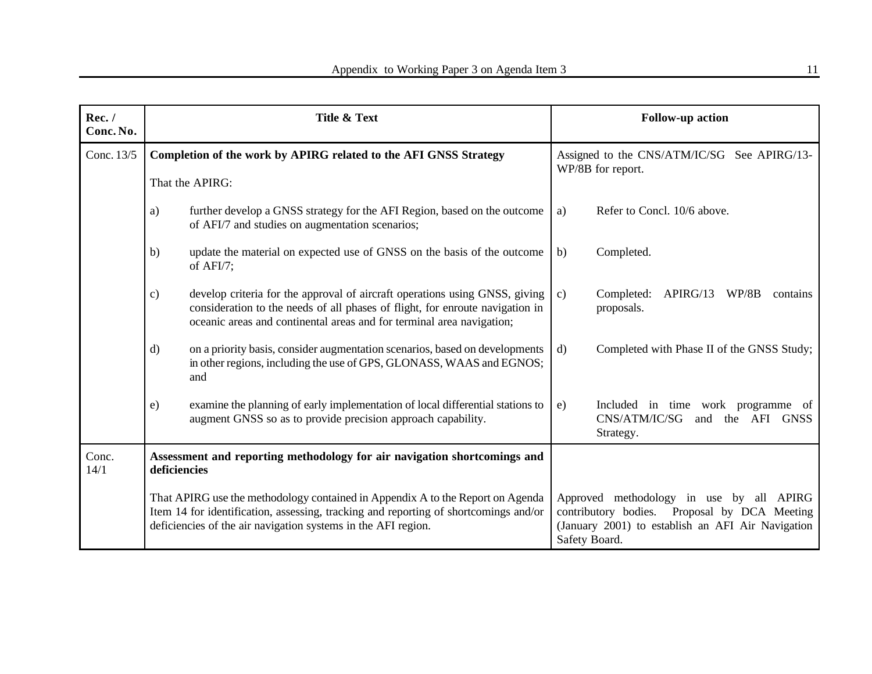| Rec. /<br>Conc. No. | Title & Text  |                                                                                                                                                                                                                                         | <b>Follow-up action</b>                                          |                                                                                                                                                                |
|---------------------|---------------|-----------------------------------------------------------------------------------------------------------------------------------------------------------------------------------------------------------------------------------------|------------------------------------------------------------------|----------------------------------------------------------------------------------------------------------------------------------------------------------------|
| Conc. 13/5          |               | Completion of the work by APIRG related to the AFI GNSS Strategy                                                                                                                                                                        | Assigned to the CNS/ATM/IC/SG See APIRG/13-<br>WP/8B for report. |                                                                                                                                                                |
|                     |               | That the APIRG:                                                                                                                                                                                                                         |                                                                  |                                                                                                                                                                |
|                     | a)            | further develop a GNSS strategy for the AFI Region, based on the outcome<br>of AFI/7 and studies on augmentation scenarios;                                                                                                             | a)                                                               | Refer to Concl. 10/6 above.                                                                                                                                    |
|                     | b)            | update the material on expected use of GNSS on the basis of the outcome<br>of $AFI/7$ ;                                                                                                                                                 | b)                                                               | Completed.                                                                                                                                                     |
|                     | $\mathbf{c})$ | develop criteria for the approval of aircraft operations using GNSS, giving<br>consideration to the needs of all phases of flight, for enroute navigation in<br>oceanic areas and continental areas and for terminal area navigation;   | c)                                                               | Completed:<br>APIRG/13<br>WP/8B<br>contains<br>proposals.                                                                                                      |
|                     | $\mathbf{d}$  | on a priority basis, consider augmentation scenarios, based on developments<br>in other regions, including the use of GPS, GLONASS, WAAS and EGNOS;<br>and                                                                              | d)                                                               | Completed with Phase II of the GNSS Study;                                                                                                                     |
|                     | $\epsilon$ )  | examine the planning of early implementation of local differential stations to<br>augment GNSS so as to provide precision approach capability.                                                                                          | e)                                                               | Included in time work programme of<br>CNS/ATM/IC/SG<br>and the AFI GNSS<br>Strategy.                                                                           |
| Conc.<br>14/1       | deficiencies  | Assessment and reporting methodology for air navigation shortcomings and                                                                                                                                                                |                                                                  |                                                                                                                                                                |
|                     |               | That APIRG use the methodology contained in Appendix A to the Report on Agenda<br>Item 14 for identification, assessing, tracking and reporting of shortcomings and/or<br>deficiencies of the air navigation systems in the AFI region. |                                                                  | Approved methodology in use by all APIRG<br>contributory bodies. Proposal by DCA Meeting<br>(January 2001) to establish an AFI Air Navigation<br>Safety Board. |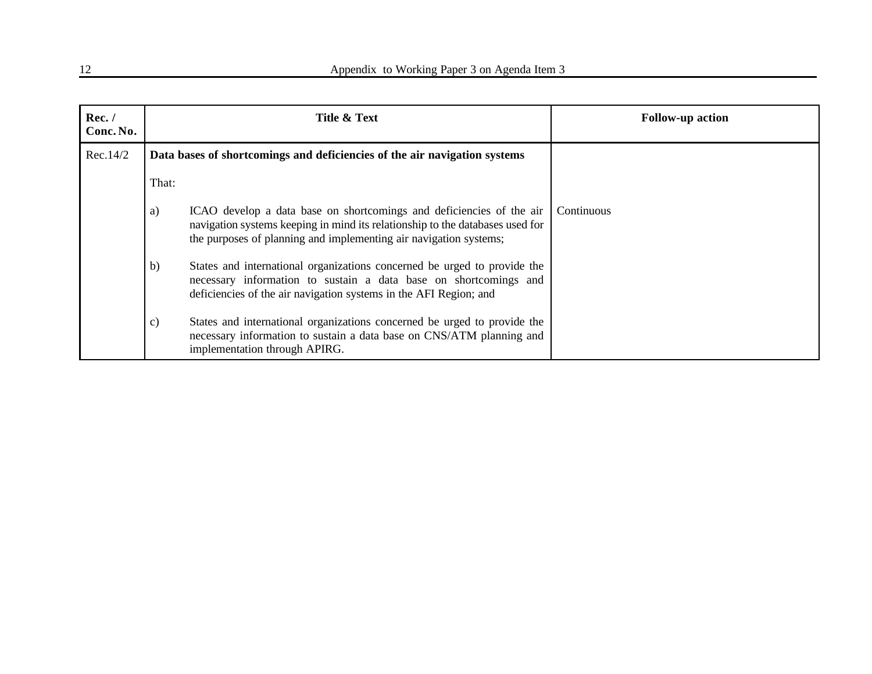| Rec./<br>Conc. No. |                                                                           | Title & Text                                                                                                                                                                                                               | <b>Follow-up action</b> |
|--------------------|---------------------------------------------------------------------------|----------------------------------------------------------------------------------------------------------------------------------------------------------------------------------------------------------------------------|-------------------------|
| Rec.14/2           | Data bases of shortcomings and deficiencies of the air navigation systems |                                                                                                                                                                                                                            |                         |
|                    | That:                                                                     |                                                                                                                                                                                                                            |                         |
|                    | a)                                                                        | ICAO develop a data base on shortcomings and deficiencies of the air<br>navigation systems keeping in mind its relationship to the databases used for<br>the purposes of planning and implementing air navigation systems; | Continuous              |
|                    | $\mathbf{b}$                                                              | States and international organizations concerned be urged to provide the<br>necessary information to sustain a data base on shortcomings and<br>deficiencies of the air navigation systems in the AFI Region; and          |                         |
|                    | c)                                                                        | States and international organizations concerned be urged to provide the<br>necessary information to sustain a data base on CNS/ATM planning and<br>implementation through APIRG.                                          |                         |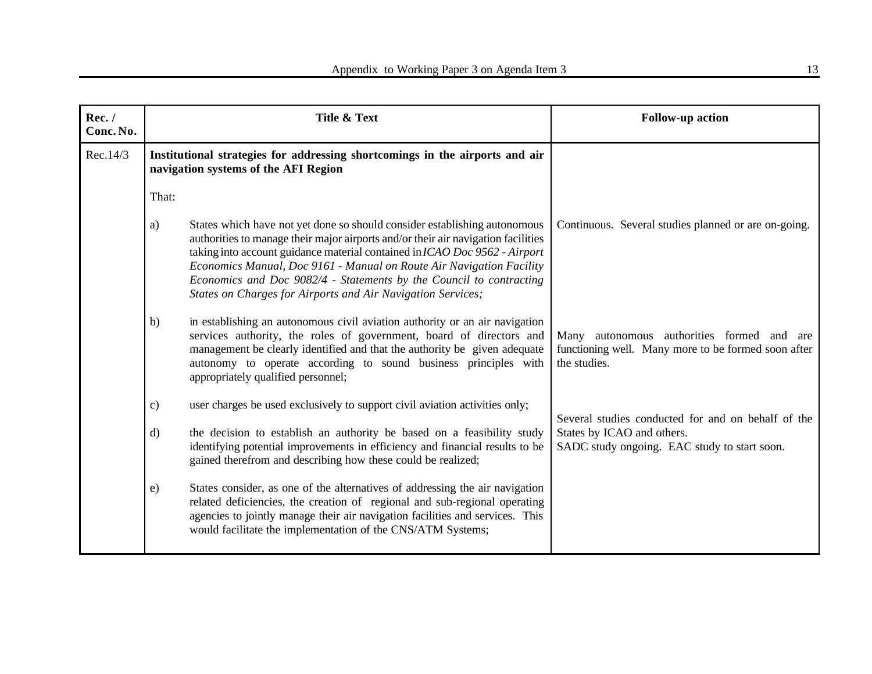| Rec./<br>Conc. No. | Title & Text                                                                                                                                                                                                                                                                                                                                                                                                                                                     | <b>Follow-up action</b>                                                                                              |
|--------------------|------------------------------------------------------------------------------------------------------------------------------------------------------------------------------------------------------------------------------------------------------------------------------------------------------------------------------------------------------------------------------------------------------------------------------------------------------------------|----------------------------------------------------------------------------------------------------------------------|
| Rec.14/3           | Institutional strategies for addressing shortcomings in the airports and air<br>navigation systems of the AFI Region                                                                                                                                                                                                                                                                                                                                             |                                                                                                                      |
|                    | That:                                                                                                                                                                                                                                                                                                                                                                                                                                                            |                                                                                                                      |
|                    | States which have not yet done so should consider establishing autonomous<br>a)<br>authorities to manage their major airports and/or their air navigation facilities<br>taking into account guidance material contained in ICAO Doc 9562 - Airport<br>Economics Manual, Doc 9161 - Manual on Route Air Navigation Facility<br>Economics and Doc 9082/4 - Statements by the Council to contracting<br>States on Charges for Airports and Air Navigation Services; | Continuous. Several studies planned or are on-going.                                                                 |
|                    | in establishing an autonomous civil aviation authority or an air navigation<br>b)<br>services authority, the roles of government, board of directors and<br>management be clearly identified and that the authority be given adequate<br>autonomy to operate according to sound business principles with<br>appropriately qualified personnel;                                                                                                                   | Many autonomous authorities formed and<br>are<br>functioning well. Many more to be formed soon after<br>the studies. |
|                    | user charges be used exclusively to support civil aviation activities only;<br>$\mathbf{c})$                                                                                                                                                                                                                                                                                                                                                                     | Several studies conducted for and on behalf of the                                                                   |
|                    | the decision to establish an authority be based on a feasibility study<br>$\mathbf{d}$<br>identifying potential improvements in efficiency and financial results to be<br>gained therefrom and describing how these could be realized;                                                                                                                                                                                                                           | States by ICAO and others.<br>SADC study ongoing. EAC study to start soon.                                           |
|                    | States consider, as one of the alternatives of addressing the air navigation<br>$\epsilon$ )<br>related deficiencies, the creation of regional and sub-regional operating<br>agencies to jointly manage their air navigation facilities and services. This<br>would facilitate the implementation of the CNS/ATM Systems;                                                                                                                                        |                                                                                                                      |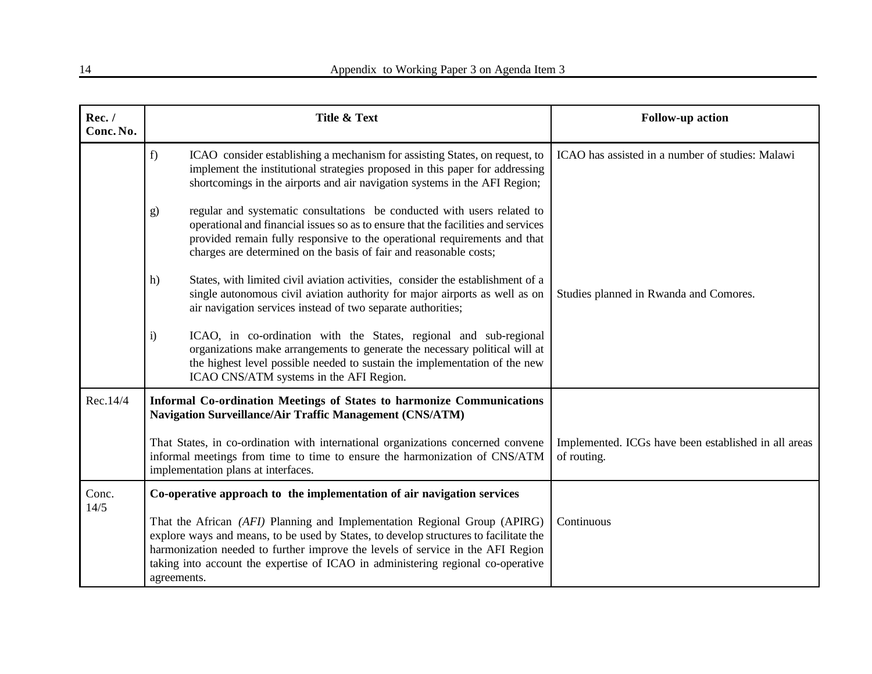| Rec./<br>Conc. No. | Title & Text                                                                                                                                                                                                                                                                                                                                             | <b>Follow-up action</b>                                             |
|--------------------|----------------------------------------------------------------------------------------------------------------------------------------------------------------------------------------------------------------------------------------------------------------------------------------------------------------------------------------------------------|---------------------------------------------------------------------|
|                    | f)<br>ICAO consider establishing a mechanism for assisting States, on request, to<br>implement the institutional strategies proposed in this paper for addressing<br>shortcomings in the airports and air navigation systems in the AFI Region;                                                                                                          | ICAO has assisted in a number of studies: Malawi                    |
|                    | regular and systematic consultations be conducted with users related to<br>g)<br>operational and financial issues so as to ensure that the facilities and services<br>provided remain fully responsive to the operational requirements and that<br>charges are determined on the basis of fair and reasonable costs;                                     |                                                                     |
|                    | States, with limited civil aviation activities, consider the establishment of a<br>h)<br>single autonomous civil aviation authority for major airports as well as on<br>air navigation services instead of two separate authorities;                                                                                                                     | Studies planned in Rwanda and Comores.                              |
|                    | ICAO, in co-ordination with the States, regional and sub-regional<br>$\ddot{1}$<br>organizations make arrangements to generate the necessary political will at<br>the highest level possible needed to sustain the implementation of the new<br>ICAO CNS/ATM systems in the AFI Region.                                                                  |                                                                     |
| Rec.14/4           | Informal Co-ordination Meetings of States to harmonize Communications<br>Navigation Surveillance/Air Traffic Management (CNS/ATM)                                                                                                                                                                                                                        |                                                                     |
|                    | That States, in co-ordination with international organizations concerned convene<br>informal meetings from time to time to ensure the harmonization of CNS/ATM<br>implementation plans at interfaces.                                                                                                                                                    | Implemented. ICGs have been established in all areas<br>of routing. |
| Conc.<br>14/5      | Co-operative approach to the implementation of air navigation services                                                                                                                                                                                                                                                                                   |                                                                     |
|                    | That the African (AFI) Planning and Implementation Regional Group (APIRG)<br>explore ways and means, to be used by States, to develop structures to facilitate the<br>harmonization needed to further improve the levels of service in the AFI Region<br>taking into account the expertise of ICAO in administering regional co-operative<br>agreements. | Continuous                                                          |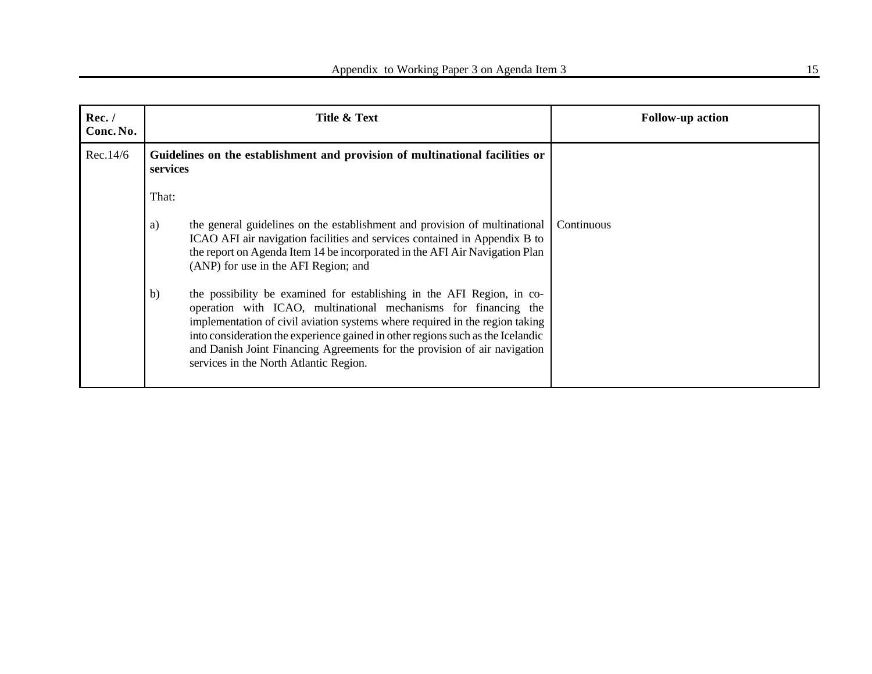| Rec./<br>Conc. No. |              | Title & Text                                                                                                                                                                                                                                                                                                                                                                                                                        | <b>Follow-up action</b> |
|--------------------|--------------|-------------------------------------------------------------------------------------------------------------------------------------------------------------------------------------------------------------------------------------------------------------------------------------------------------------------------------------------------------------------------------------------------------------------------------------|-------------------------|
| Rec.14/6           | services     | Guidelines on the establishment and provision of multinational facilities or                                                                                                                                                                                                                                                                                                                                                        |                         |
|                    | That:        |                                                                                                                                                                                                                                                                                                                                                                                                                                     |                         |
|                    | a)           | the general guidelines on the establishment and provision of multinational<br>ICAO AFI air navigation facilities and services contained in Appendix B to<br>the report on Agenda Item 14 be incorporated in the AFI Air Navigation Plan<br>(ANP) for use in the AFI Region; and                                                                                                                                                     | Continuous              |
|                    | $\mathbf{b}$ | the possibility be examined for establishing in the AFI Region, in co-<br>operation with ICAO, multinational mechanisms for financing the<br>implementation of civil aviation systems where required in the region taking<br>into consideration the experience gained in other regions such as the Icelandic<br>and Danish Joint Financing Agreements for the provision of air navigation<br>services in the North Atlantic Region. |                         |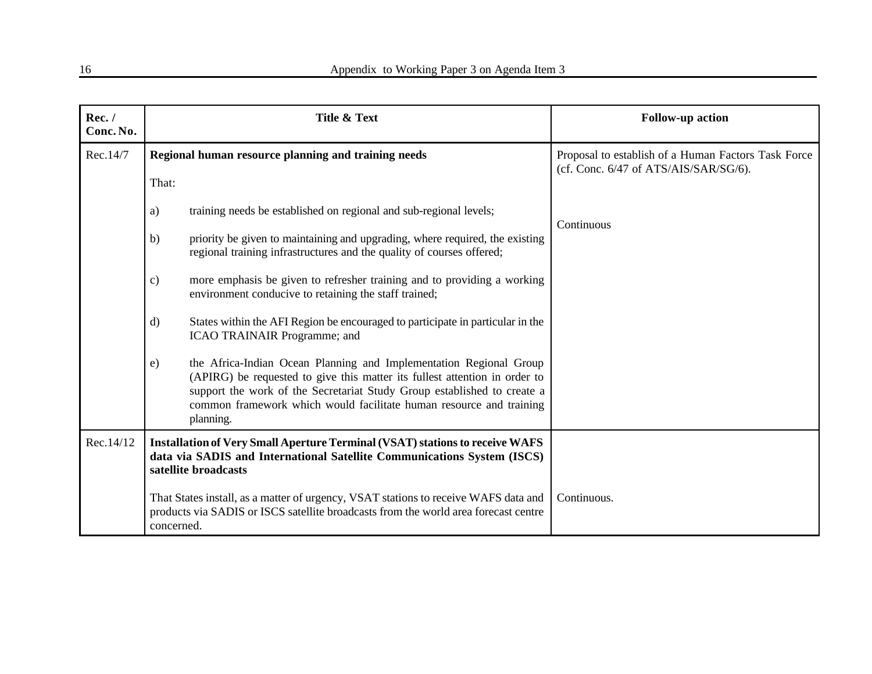| Rec./<br>Conc. No. | Title & Text                                                                                                                                                                                                                                                                                                                    | <b>Follow-up action</b>                                                                      |
|--------------------|---------------------------------------------------------------------------------------------------------------------------------------------------------------------------------------------------------------------------------------------------------------------------------------------------------------------------------|----------------------------------------------------------------------------------------------|
| Rec.14/7           | Regional human resource planning and training needs<br>That:                                                                                                                                                                                                                                                                    | Proposal to establish of a Human Factors Task Force<br>(cf. Conc. 6/47 of ATS/AIS/SAR/SG/6). |
|                    | training needs be established on regional and sub-regional levels;<br>a)                                                                                                                                                                                                                                                        | Continuous                                                                                   |
|                    | priority be given to maintaining and upgrading, where required, the existing<br>b)<br>regional training infrastructures and the quality of courses offered;                                                                                                                                                                     |                                                                                              |
|                    | more emphasis be given to refresher training and to providing a working<br>$\mathbf{c})$<br>environment conducive to retaining the staff trained;                                                                                                                                                                               |                                                                                              |
|                    | States within the AFI Region be encouraged to participate in particular in the<br>$\mathbf{d}$<br>ICAO TRAINAIR Programme; and                                                                                                                                                                                                  |                                                                                              |
|                    | the Africa-Indian Ocean Planning and Implementation Regional Group<br>$\epsilon$ )<br>(APIRG) be requested to give this matter its fullest attention in order to<br>support the work of the Secretariat Study Group established to create a<br>common framework which would facilitate human resource and training<br>planning. |                                                                                              |
| Rec.14/12          | <b>Installation of Very Small Aperture Terminal (VSAT) stations to receive WAFS</b><br>data via SADIS and International Satellite Communications System (ISCS)<br>satellite broadcasts                                                                                                                                          |                                                                                              |
|                    | That States install, as a matter of urgency, VSAT stations to receive WAFS data and<br>products via SADIS or ISCS satellite broadcasts from the world area forecast centre<br>concerned.                                                                                                                                        | Continuous.                                                                                  |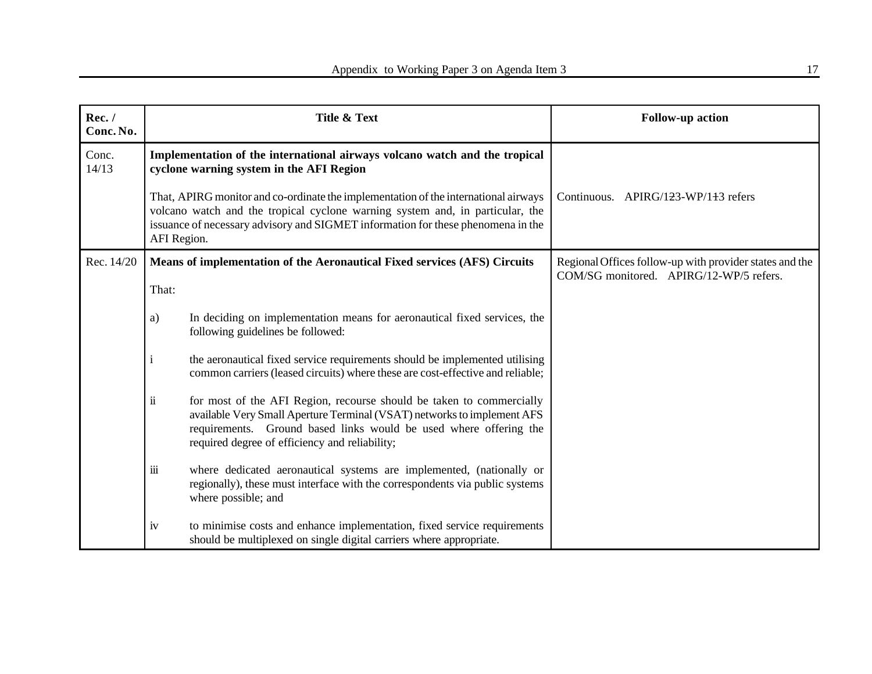| Rec./<br>Conc. No. |                                                                                                                                                                                                                                                                         | Title & Text                                                                                                                                                                                                                                                           | <b>Follow-up action</b>                                                                            |
|--------------------|-------------------------------------------------------------------------------------------------------------------------------------------------------------------------------------------------------------------------------------------------------------------------|------------------------------------------------------------------------------------------------------------------------------------------------------------------------------------------------------------------------------------------------------------------------|----------------------------------------------------------------------------------------------------|
| Conc.<br>14/13     | Implementation of the international airways volcano watch and the tropical<br>cyclone warning system in the AFI Region                                                                                                                                                  |                                                                                                                                                                                                                                                                        |                                                                                                    |
|                    | That, APIRG monitor and co-ordinate the implementation of the international airways<br>volcano watch and the tropical cyclone warning system and, in particular, the<br>issuance of necessary advisory and SIGMET information for these phenomena in the<br>AFI Region. |                                                                                                                                                                                                                                                                        | Continuous. APIRG/123-WP/1 <del>1</del> 3 refers                                                   |
| Rec. 14/20         | That:                                                                                                                                                                                                                                                                   | Means of implementation of the Aeronautical Fixed services (AFS) Circuits                                                                                                                                                                                              | Regional Offices follow-up with provider states and the<br>COM/SG monitored. APIRG/12-WP/5 refers. |
|                    | a)                                                                                                                                                                                                                                                                      | In deciding on implementation means for aeronautical fixed services, the<br>following guidelines be followed:                                                                                                                                                          |                                                                                                    |
|                    | $\mathbf{1}$                                                                                                                                                                                                                                                            | the aeronautical fixed service requirements should be implemented utilising<br>common carriers (leased circuits) where these are cost-effective and reliable;                                                                                                          |                                                                                                    |
|                    | $\ddot{\mathbf{i}}$                                                                                                                                                                                                                                                     | for most of the AFI Region, recourse should be taken to commercially<br>available Very Small Aperture Terminal (VSAT) networks to implement AFS<br>requirements. Ground based links would be used where offering the<br>required degree of efficiency and reliability; |                                                                                                    |
|                    | iii                                                                                                                                                                                                                                                                     | where dedicated aeronautical systems are implemented, (nationally or<br>regionally), these must interface with the correspondents via public systems<br>where possible; and                                                                                            |                                                                                                    |
|                    | iv                                                                                                                                                                                                                                                                      | to minimise costs and enhance implementation, fixed service requirements<br>should be multiplexed on single digital carriers where appropriate.                                                                                                                        |                                                                                                    |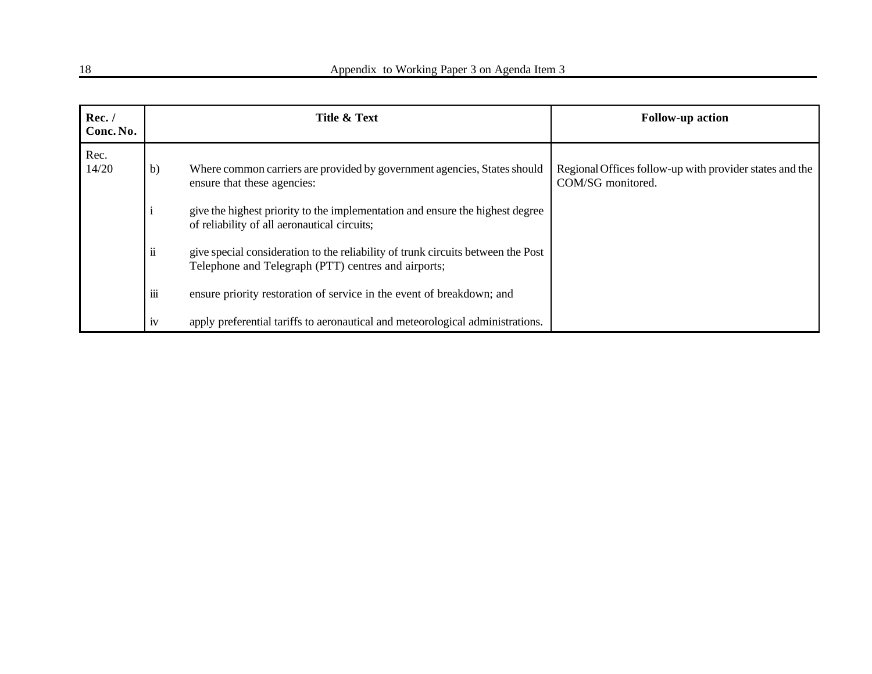| Rec./<br>Conc. No. |                     | Title & Text                                                                                                                            | <b>Follow-up action</b>                                                      |
|--------------------|---------------------|-----------------------------------------------------------------------------------------------------------------------------------------|------------------------------------------------------------------------------|
| Rec.<br>14/20      | b)                  | Where common carriers are provided by government agencies, States should<br>ensure that these agencies:                                 | Regional Offices follow-up with provider states and the<br>COM/SG monitored. |
|                    |                     | give the highest priority to the implementation and ensure the highest degree<br>of reliability of all aeronautical circuits;           |                                                                              |
|                    | $\ddot{\mathbf{i}}$ | give special consideration to the reliability of trunk circuits between the Post<br>Telephone and Telegraph (PTT) centres and airports; |                                                                              |
|                    | iii                 | ensure priority restoration of service in the event of breakdown; and                                                                   |                                                                              |
|                    | 1V                  | apply preferential tariffs to aeronautical and meteorological administrations.                                                          |                                                                              |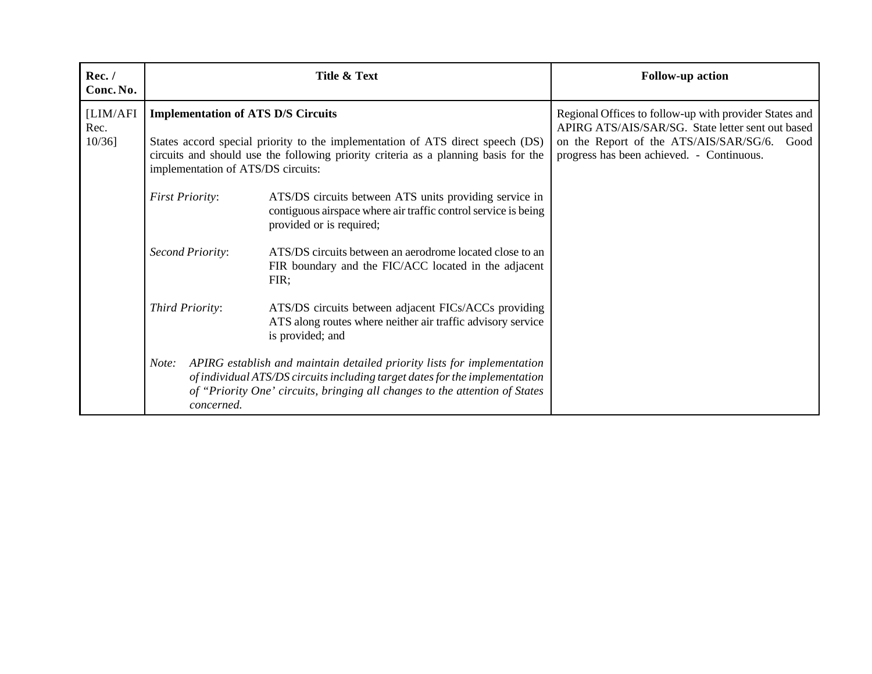| Rec./<br>Conc. No.            |                                                                                                                                                                                                                                                          | Title & Text                                                                                                                                                                                                                          | <b>Follow-up action</b>                                                                                                                                                                                    |
|-------------------------------|----------------------------------------------------------------------------------------------------------------------------------------------------------------------------------------------------------------------------------------------------------|---------------------------------------------------------------------------------------------------------------------------------------------------------------------------------------------------------------------------------------|------------------------------------------------------------------------------------------------------------------------------------------------------------------------------------------------------------|
| [LIM/AFI<br>Rec.<br>$10/36$ ] | <b>Implementation of ATS D/S Circuits</b><br>States accord special priority to the implementation of ATS direct speech (DS)<br>circuits and should use the following priority criteria as a planning basis for the<br>implementation of ATS/DS circuits: |                                                                                                                                                                                                                                       | Regional Offices to follow-up with provider States and<br>APIRG ATS/AIS/SAR/SG. State letter sent out based<br>on the Report of the ATS/AIS/SAR/SG/6.<br>Good<br>progress has been achieved. - Continuous. |
|                               | <b>First Priority:</b>                                                                                                                                                                                                                                   | ATS/DS circuits between ATS units providing service in<br>contiguous airspace where air traffic control service is being<br>provided or is required;                                                                                  |                                                                                                                                                                                                            |
|                               | Second Priority:                                                                                                                                                                                                                                         | ATS/DS circuits between an aerodrome located close to an<br>FIR boundary and the FIC/ACC located in the adjacent<br>FIR;                                                                                                              |                                                                                                                                                                                                            |
|                               | Third Priority:                                                                                                                                                                                                                                          | ATS/DS circuits between adjacent FICs/ACCs providing<br>ATS along routes where neither air traffic advisory service<br>is provided; and                                                                                               |                                                                                                                                                                                                            |
|                               | Note:<br>concerned.                                                                                                                                                                                                                                      | APIRG establish and maintain detailed priority lists for implementation<br>of individual ATS/DS circuits including target dates for the implementation<br>of "Priority One' circuits, bringing all changes to the attention of States |                                                                                                                                                                                                            |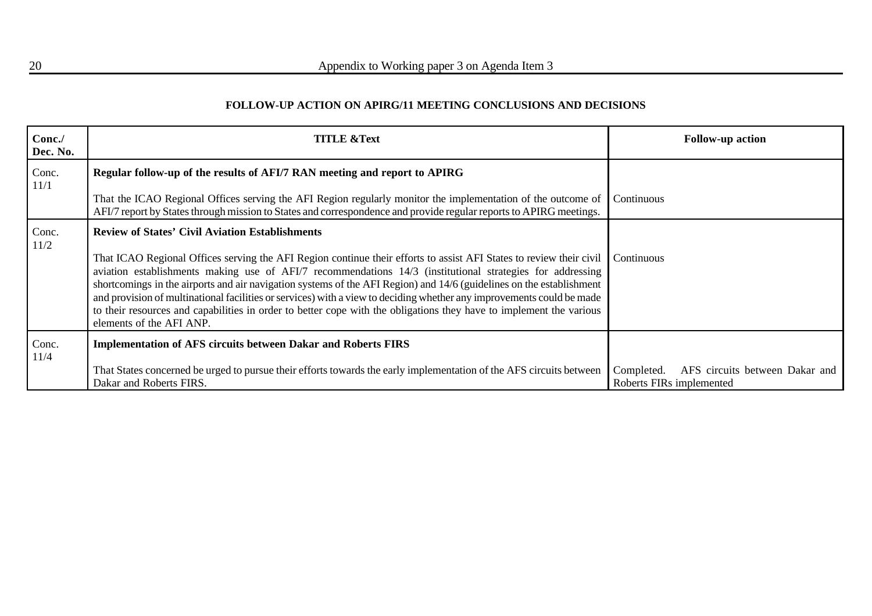## **FOLLOW-UP ACTION ON APIRG/11 MEETING CONCLUSIONS AND DECISIONS**

| Conc./<br>Dec. No. | <b>TITLE &amp;Text</b>                                                                                                                                                                                                                                                                                                                                                                                                                                                                                                                                                                                                               | <b>Follow-up action</b>                                                  |
|--------------------|--------------------------------------------------------------------------------------------------------------------------------------------------------------------------------------------------------------------------------------------------------------------------------------------------------------------------------------------------------------------------------------------------------------------------------------------------------------------------------------------------------------------------------------------------------------------------------------------------------------------------------------|--------------------------------------------------------------------------|
| Conc.<br>11/1      | Regular follow-up of the results of AFI/7 RAN meeting and report to APIRG<br>That the ICAO Regional Offices serving the AFI Region regularly monitor the implementation of the outcome of                                                                                                                                                                                                                                                                                                                                                                                                                                            | Continuous                                                               |
|                    | AFI/7 report by States through mission to States and correspondence and provide regular reports to APIRG meetings.                                                                                                                                                                                                                                                                                                                                                                                                                                                                                                                   |                                                                          |
| Conc.<br>11/2      | <b>Review of States' Civil Aviation Establishments</b>                                                                                                                                                                                                                                                                                                                                                                                                                                                                                                                                                                               |                                                                          |
|                    | That ICAO Regional Offices serving the AFI Region continue their efforts to assist AFI States to review their civil<br>aviation establishments making use of AFI/7 recommendations 14/3 (institutional strategies for addressing<br>shortcomings in the airports and air navigation systems of the AFI Region) and 14/6 (guidelines on the establishment<br>and provision of multinational facilities or services) with a view to deciding whether any improvements could be made<br>to their resources and capabilities in order to better cope with the obligations they have to implement the various<br>elements of the AFI ANP. | Continuous                                                               |
| Conc.<br>11/4      | <b>Implementation of AFS circuits between Dakar and Roberts FIRS</b>                                                                                                                                                                                                                                                                                                                                                                                                                                                                                                                                                                 |                                                                          |
|                    | That States concerned be urged to pursue their efforts towards the early implementation of the AFS circuits between<br>Dakar and Roberts FIRS.                                                                                                                                                                                                                                                                                                                                                                                                                                                                                       | AFS circuits between Dakar and<br>Completed.<br>Roberts FIRs implemented |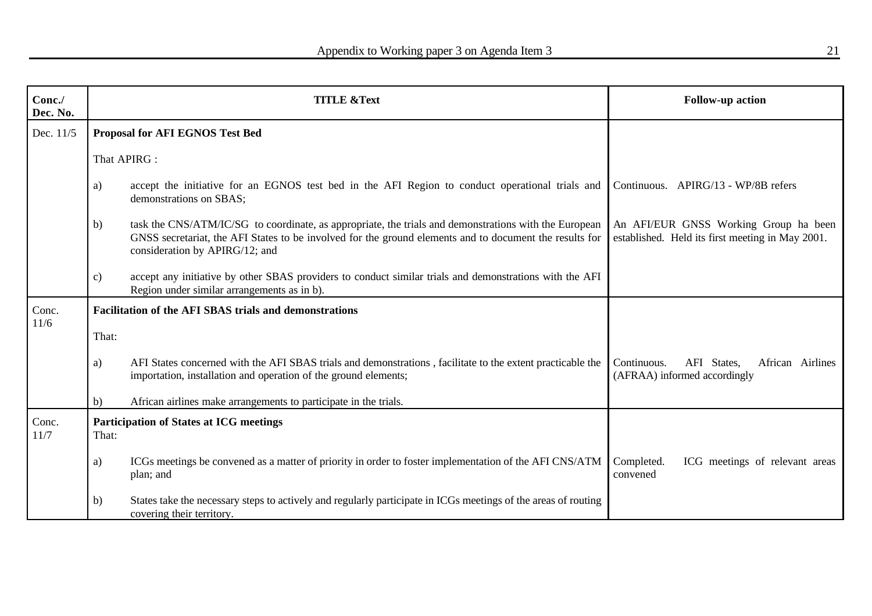| Conc./<br>Dec. No. | <b>TITLE &amp;Text</b> |                                                                                                                                                                                                                                                    | <b>Follow-up action</b>                                                                   |
|--------------------|------------------------|----------------------------------------------------------------------------------------------------------------------------------------------------------------------------------------------------------------------------------------------------|-------------------------------------------------------------------------------------------|
| Dec. 11/5          |                        | <b>Proposal for AFI EGNOS Test Bed</b>                                                                                                                                                                                                             |                                                                                           |
|                    |                        | That APIRG :                                                                                                                                                                                                                                       |                                                                                           |
|                    | a)                     | accept the initiative for an EGNOS test bed in the AFI Region to conduct operational trials and<br>demonstrations on SBAS;                                                                                                                         | Continuous. APIRG/13 - WP/8B refers                                                       |
|                    | b)                     | task the CNS/ATM/IC/SG to coordinate, as appropriate, the trials and demonstrations with the European<br>GNSS secretariat, the AFI States to be involved for the ground elements and to document the results for<br>consideration by APIRG/12; and | An AFI/EUR GNSS Working Group ha been<br>established. Held its first meeting in May 2001. |
|                    | $\mathbf{c})$          | accept any initiative by other SBAS providers to conduct similar trials and demonstrations with the AFI<br>Region under similar arrangements as in b).                                                                                             |                                                                                           |
| Conc.<br>11/6      |                        | <b>Facilitation of the AFI SBAS trials and demonstrations</b>                                                                                                                                                                                      |                                                                                           |
|                    | That:                  |                                                                                                                                                                                                                                                    |                                                                                           |
|                    | a)                     | AFI States concerned with the AFI SBAS trials and demonstrations, facilitate to the extent practicable the<br>importation, installation and operation of the ground elements;                                                                      | Continuous.<br>AFI States,<br>African Airlines<br>(AFRAA) informed accordingly            |
|                    | b)                     | African airlines make arrangements to participate in the trials.                                                                                                                                                                                   |                                                                                           |
| Conc.<br>11/7      | That:                  | <b>Participation of States at ICG meetings</b>                                                                                                                                                                                                     |                                                                                           |
|                    | a)                     | ICGs meetings be convened as a matter of priority in order to foster implementation of the AFI CNS/ATM<br>plan; and                                                                                                                                | ICG meetings of relevant areas<br>Completed.<br>convened                                  |
|                    | b)                     | States take the necessary steps to actively and regularly participate in ICGs meetings of the areas of routing<br>covering their territory.                                                                                                        |                                                                                           |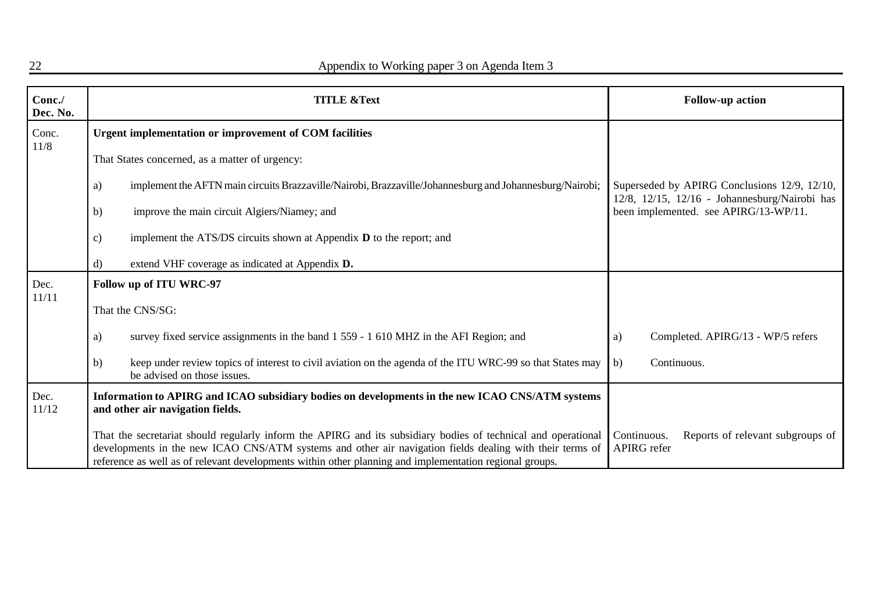| Conc./<br>Dec. No. | <b>TITLE &amp;Text</b>                                                                                                                                                                                                                                                                                                               | <b>Follow-up action</b>                                                                       |
|--------------------|--------------------------------------------------------------------------------------------------------------------------------------------------------------------------------------------------------------------------------------------------------------------------------------------------------------------------------------|-----------------------------------------------------------------------------------------------|
| Conc.<br>11/8      | Urgent implementation or improvement of COM facilities                                                                                                                                                                                                                                                                               |                                                                                               |
|                    | That States concerned, as a matter of urgency:                                                                                                                                                                                                                                                                                       |                                                                                               |
|                    | implement the AFTN main circuits Brazzaville/Nairobi, Brazzaville/Johannesburg and Johannesburg/Nairobi;<br>a)                                                                                                                                                                                                                       | Superseded by APIRG Conclusions 12/9, 12/10,<br>12/8, 12/15, 12/16 - Johannesburg/Nairobi has |
|                    | improve the main circuit Algiers/Niamey; and<br>$\mathbf{b}$                                                                                                                                                                                                                                                                         | been implemented. see APIRG/13-WP/11.                                                         |
|                    | implement the $ATS/DS$ circuits shown at Appendix $D$ to the report; and<br>$\mathbf{c})$                                                                                                                                                                                                                                            |                                                                                               |
|                    | extend VHF coverage as indicated at Appendix D.<br>d)                                                                                                                                                                                                                                                                                |                                                                                               |
| Dec.               | Follow up of ITU WRC-97                                                                                                                                                                                                                                                                                                              |                                                                                               |
| 11/11              | That the CNS/SG:                                                                                                                                                                                                                                                                                                                     |                                                                                               |
|                    | survey fixed service assignments in the band 1 559 - 1 610 MHZ in the AFI Region; and<br>a)                                                                                                                                                                                                                                          | Completed. APIRG/13 - WP/5 refers<br>a)                                                       |
|                    | keep under review topics of interest to civil aviation on the agenda of the ITU WRC-99 so that States may<br>b)<br>be advised on those issues.                                                                                                                                                                                       | Continuous.<br>b)                                                                             |
| Dec.<br>11/12      | Information to APIRG and ICAO subsidiary bodies on developments in the new ICAO CNS/ATM systems<br>and other air navigation fields.                                                                                                                                                                                                  |                                                                                               |
|                    | That the secretariat should regularly inform the APIRG and its subsidiary bodies of technical and operational<br>developments in the new ICAO CNS/ATM systems and other air navigation fields dealing with their terms of<br>reference as well as of relevant developments within other planning and implementation regional groups. | Reports of relevant subgroups of<br>Continuous.<br><b>APIRG</b> refer                         |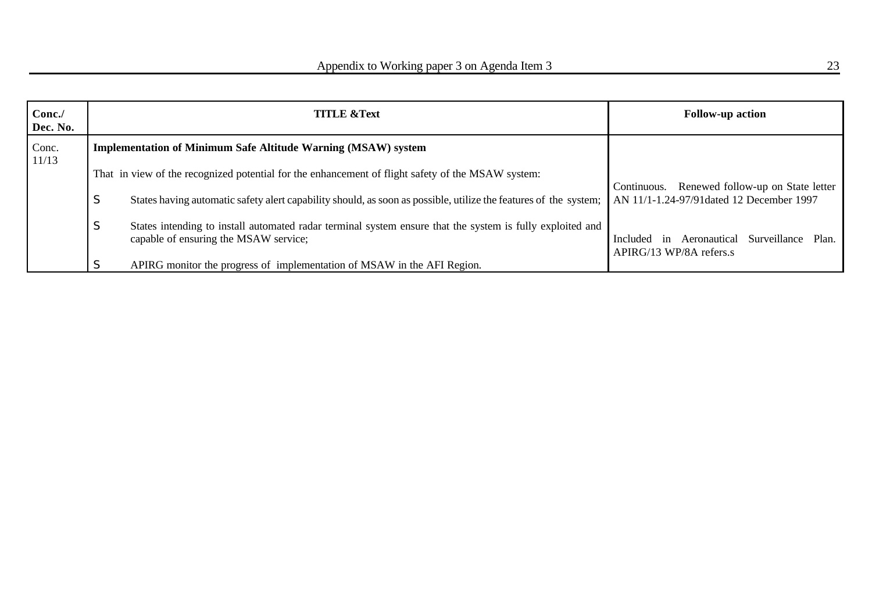| Conc./<br>Dec. No. |    | <b>TITLE &amp;Text</b>                                                                                                                             | <b>Follow-up action</b>                                                      |
|--------------------|----|----------------------------------------------------------------------------------------------------------------------------------------------------|------------------------------------------------------------------------------|
| Conc.<br>11/13     |    | <b>Implementation of Minimum Safe Altitude Warning (MSAW) system</b>                                                                               |                                                                              |
|                    |    | That in view of the recognized potential for the enhancement of flight safety of the MSAW system:                                                  | Renewed follow-up on State letter<br>Continuous.                             |
|                    | S  | States having automatic safety alert capability should, as soon as possible, utilize the features of the system;                                   | AN 11/1-1.24-97/91dated 12 December 1997                                     |
|                    | S. | States intending to install automated radar terminal system ensure that the system is fully exploited and<br>capable of ensuring the MSAW service; | in Aeronautical Surveillance<br>Plan.<br>Included<br>APIRG/13 WP/8A refers.s |
|                    |    | APIRG monitor the progress of implementation of MSAW in the AFI Region.                                                                            |                                                                              |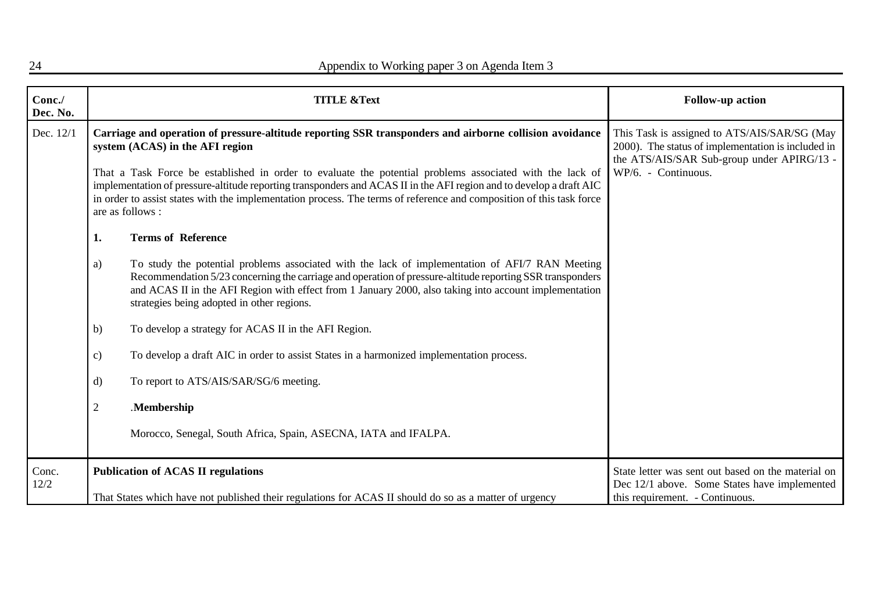| Conc./<br>Dec. No. |                                                                                                                                                                                                                                                                                                                                                                                                                                                                                                                           | <b>TITLE &amp;Text</b>                                                                                                                                                                                                                                                                                                                                               | <b>Follow-up action</b>                                                                                                                                                 |
|--------------------|---------------------------------------------------------------------------------------------------------------------------------------------------------------------------------------------------------------------------------------------------------------------------------------------------------------------------------------------------------------------------------------------------------------------------------------------------------------------------------------------------------------------------|----------------------------------------------------------------------------------------------------------------------------------------------------------------------------------------------------------------------------------------------------------------------------------------------------------------------------------------------------------------------|-------------------------------------------------------------------------------------------------------------------------------------------------------------------------|
| Dec. 12/1          | Carriage and operation of pressure-altitude reporting SSR transponders and airborne collision avoidance<br>system (ACAS) in the AFI region<br>That a Task Force be established in order to evaluate the potential problems associated with the lack of<br>implementation of pressure-altitude reporting transponders and ACAS II in the AFI region and to develop a draft AIC<br>in order to assist states with the implementation process. The terms of reference and composition of this task force<br>are as follows : |                                                                                                                                                                                                                                                                                                                                                                      | This Task is assigned to ATS/AIS/SAR/SG (May<br>2000). The status of implementation is included in<br>the ATS/AIS/SAR Sub-group under APIRG/13 -<br>WP/6. - Continuous. |
|                    | 1.                                                                                                                                                                                                                                                                                                                                                                                                                                                                                                                        | <b>Terms of Reference</b>                                                                                                                                                                                                                                                                                                                                            |                                                                                                                                                                         |
|                    | a)                                                                                                                                                                                                                                                                                                                                                                                                                                                                                                                        | To study the potential problems associated with the lack of implementation of AFI/7 RAN Meeting<br>Recommendation 5/23 concerning the carriage and operation of pressure-altitude reporting SSR transponders<br>and ACAS II in the AFI Region with effect from 1 January 2000, also taking into account implementation<br>strategies being adopted in other regions. |                                                                                                                                                                         |
|                    | b)                                                                                                                                                                                                                                                                                                                                                                                                                                                                                                                        | To develop a strategy for ACAS II in the AFI Region.                                                                                                                                                                                                                                                                                                                 |                                                                                                                                                                         |
|                    | c)                                                                                                                                                                                                                                                                                                                                                                                                                                                                                                                        | To develop a draft AIC in order to assist States in a harmonized implementation process.                                                                                                                                                                                                                                                                             |                                                                                                                                                                         |
|                    | d)                                                                                                                                                                                                                                                                                                                                                                                                                                                                                                                        | To report to ATS/AIS/SAR/SG/6 meeting.                                                                                                                                                                                                                                                                                                                               |                                                                                                                                                                         |
|                    | $\overline{2}$                                                                                                                                                                                                                                                                                                                                                                                                                                                                                                            | .Membership                                                                                                                                                                                                                                                                                                                                                          |                                                                                                                                                                         |
|                    |                                                                                                                                                                                                                                                                                                                                                                                                                                                                                                                           | Morocco, Senegal, South Africa, Spain, ASECNA, IATA and IFALPA.                                                                                                                                                                                                                                                                                                      |                                                                                                                                                                         |
| Conc.<br>12/2      |                                                                                                                                                                                                                                                                                                                                                                                                                                                                                                                           | <b>Publication of ACAS II regulations</b>                                                                                                                                                                                                                                                                                                                            | State letter was sent out based on the material on<br>Dec 12/1 above. Some States have implemented                                                                      |
|                    |                                                                                                                                                                                                                                                                                                                                                                                                                                                                                                                           | That States which have not published their regulations for ACAS II should do so as a matter of urgency                                                                                                                                                                                                                                                               | this requirement. - Continuous.                                                                                                                                         |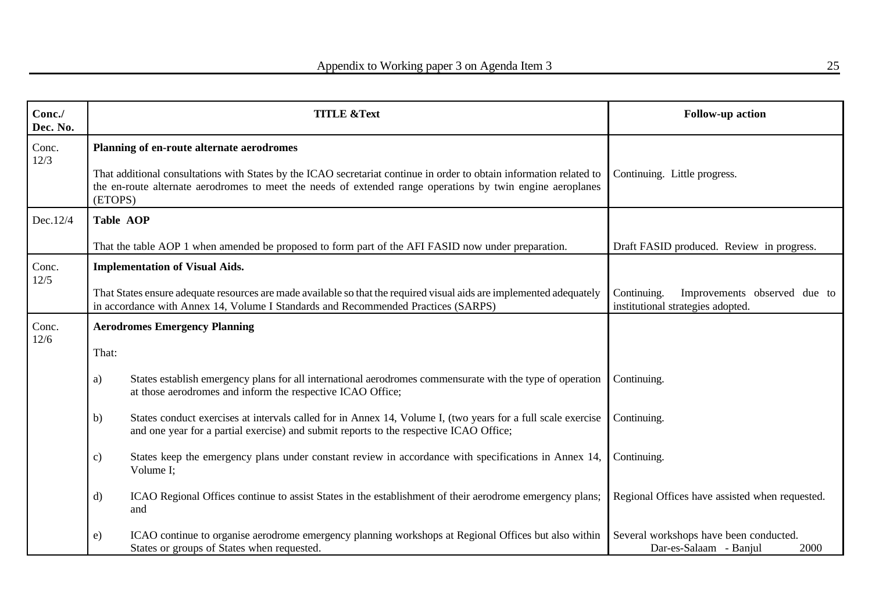| Conc./<br>Dec. No. | <b>TITLE &amp;Text</b>                                                                                                                                                                                                                                                                     |                                                                                                                                                                                                                                                    | <b>Follow-up action</b>                                                          |  |
|--------------------|--------------------------------------------------------------------------------------------------------------------------------------------------------------------------------------------------------------------------------------------------------------------------------------------|----------------------------------------------------------------------------------------------------------------------------------------------------------------------------------------------------------------------------------------------------|----------------------------------------------------------------------------------|--|
| Conc.<br>12/3      | Planning of en-route alternate aerodromes<br>That additional consultations with States by the ICAO secretariat continue in order to obtain information related to<br>the en-route alternate aerodromes to meet the needs of extended range operations by twin engine aeroplanes<br>(ETOPS) |                                                                                                                                                                                                                                                    | Continuing. Little progress.                                                     |  |
| Dec.12/4           | <b>Table AOP</b>                                                                                                                                                                                                                                                                           |                                                                                                                                                                                                                                                    |                                                                                  |  |
|                    |                                                                                                                                                                                                                                                                                            | That the table AOP 1 when amended be proposed to form part of the AFI FASID now under preparation.                                                                                                                                                 | Draft FASID produced. Review in progress.                                        |  |
| Conc.<br>12/5      |                                                                                                                                                                                                                                                                                            | <b>Implementation of Visual Aids.</b><br>That States ensure adequate resources are made available so that the required visual aids are implemented adequately<br>in accordance with Annex 14, Volume I Standards and Recommended Practices (SARPS) | Improvements observed due to<br>Continuing.<br>institutional strategies adopted. |  |
| Conc.<br>12/6      | That:                                                                                                                                                                                                                                                                                      | <b>Aerodromes Emergency Planning</b>                                                                                                                                                                                                               |                                                                                  |  |
|                    | a)                                                                                                                                                                                                                                                                                         | States establish emergency plans for all international aerodromes commensurate with the type of operation<br>at those aerodromes and inform the respective ICAO Office;                                                                            | Continuing.                                                                      |  |
|                    | b)                                                                                                                                                                                                                                                                                         | States conduct exercises at intervals called for in Annex 14, Volume I, (two years for a full scale exercise<br>and one year for a partial exercise) and submit reports to the respective ICAO Office;                                             | Continuing.                                                                      |  |
|                    | $\mathbf{c}$                                                                                                                                                                                                                                                                               | States keep the emergency plans under constant review in accordance with specifications in Annex 14,<br>Volume I;                                                                                                                                  | Continuing.                                                                      |  |
|                    | d)                                                                                                                                                                                                                                                                                         | ICAO Regional Offices continue to assist States in the establishment of their aerodrome emergency plans;<br>and                                                                                                                                    | Regional Offices have assisted when requested.                                   |  |
|                    | $\epsilon$ )                                                                                                                                                                                                                                                                               | ICAO continue to organise aerodrome emergency planning workshops at Regional Offices but also within<br>States or groups of States when requested.                                                                                                 | Several workshops have been conducted.<br>Dar-es-Salaam - Banjul<br>2000         |  |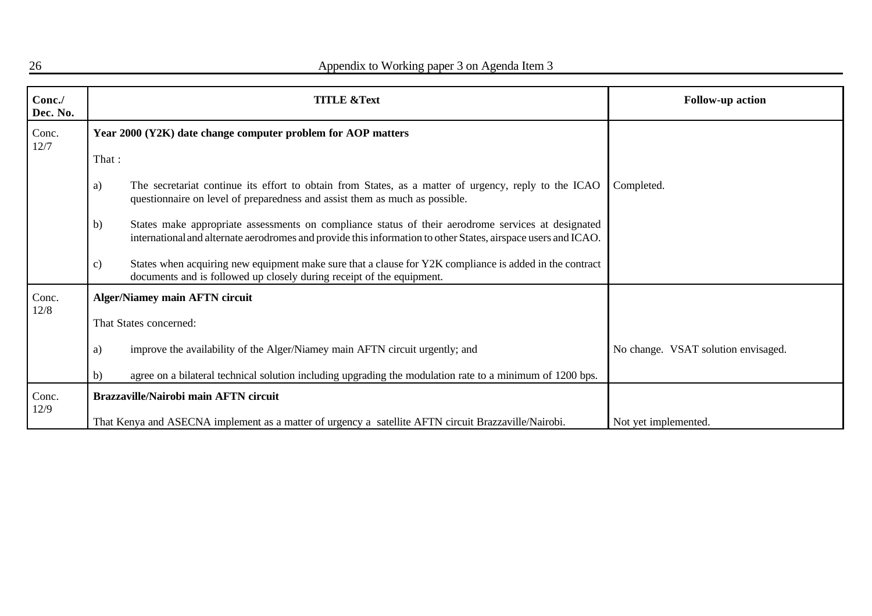| Conc./<br>Dec. No. |               | <b>TITLE &amp;Text</b>                                                                                                                                                                                              | <b>Follow-up action</b>             |
|--------------------|---------------|---------------------------------------------------------------------------------------------------------------------------------------------------------------------------------------------------------------------|-------------------------------------|
| Conc.<br>12/7      |               | Year 2000 (Y2K) date change computer problem for AOP matters                                                                                                                                                        |                                     |
|                    | That:         |                                                                                                                                                                                                                     |                                     |
|                    | a)            | The secretariat continue its effort to obtain from States, as a matter of urgency, reply to the ICAO<br>questionnaire on level of preparedness and assist them as much as possible.                                 | Completed.                          |
|                    | b)            | States make appropriate assessments on compliance status of their aerodrome services at designated<br>international and alternate aerodromes and provide this information to other States, airspace users and ICAO. |                                     |
|                    | $\mathbf{c})$ | States when acquiring new equipment make sure that a clause for Y2K compliance is added in the contract<br>documents and is followed up closely during receipt of the equipment.                                    |                                     |
| Conc.              |               | <b>Alger/Niamey main AFTN circuit</b>                                                                                                                                                                               |                                     |
| 12/8               |               | That States concerned:                                                                                                                                                                                              |                                     |
|                    | a)            | improve the availability of the Alger/Niamey main AFTN circuit urgently; and                                                                                                                                        | No change. VSAT solution envisaged. |
|                    | b)            | agree on a bilateral technical solution including upgrading the modulation rate to a minimum of 1200 bps.                                                                                                           |                                     |
| Conc.              |               | <b>Brazzaville/Nairobi main AFTN circuit</b>                                                                                                                                                                        |                                     |
| 12/9               |               | That Kenya and ASECNA implement as a matter of urgency a satellite AFTN circuit Brazzaville/Nairobi.                                                                                                                | Not yet implemented.                |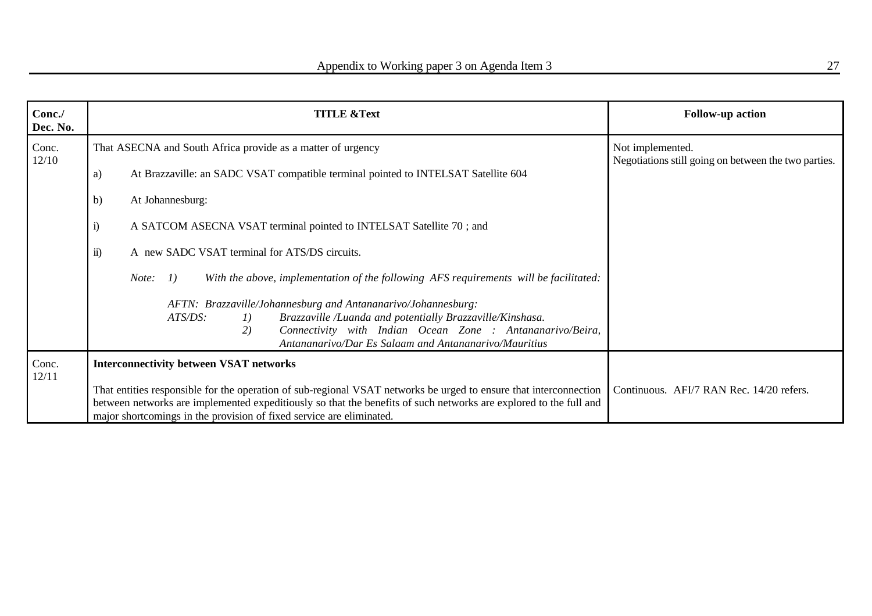| Conc./<br>Dec. No. | <b>TITLE &amp;Text</b>                                                                                                                                                                                                                                                                                         | <b>Follow-up action</b>                                                  |
|--------------------|----------------------------------------------------------------------------------------------------------------------------------------------------------------------------------------------------------------------------------------------------------------------------------------------------------------|--------------------------------------------------------------------------|
| Conc.<br>12/10     | That ASECNA and South Africa provide as a matter of urgency                                                                                                                                                                                                                                                    | Not implemented.<br>Negotiations still going on between the two parties. |
|                    | At Brazzaville: an SADC VSAT compatible terminal pointed to INTELSAT Satellite 604<br>a)                                                                                                                                                                                                                       |                                                                          |
|                    | b)<br>At Johannesburg:                                                                                                                                                                                                                                                                                         |                                                                          |
|                    | $\ddot{i}$<br>A SATCOM ASECNA VSAT terminal pointed to INTELSAT Satellite 70; and                                                                                                                                                                                                                              |                                                                          |
|                    | $\ddot{\mathbf{i}}$<br>A new SADC VSAT terminal for ATS/DS circuits.                                                                                                                                                                                                                                           |                                                                          |
|                    | With the above, implementation of the following AFS requirements will be facilitated:<br>I)<br>Note:                                                                                                                                                                                                           |                                                                          |
|                    | AFTN: Brazzaville/Johannesburg and Antananarivo/Johannesburg:                                                                                                                                                                                                                                                  |                                                                          |
|                    | Brazzaville /Luanda and potentially Brazzaville/Kinshasa.<br>ATS/DS:<br>I)                                                                                                                                                                                                                                     |                                                                          |
|                    | Connectivity with Indian Ocean Zone : Antananarivo/Beira,<br>2)<br>Antananarivo/Dar Es Salaam and Antananarivo/Mauritius                                                                                                                                                                                       |                                                                          |
| Conc.<br>12/11     | <b>Interconnectivity between VSAT networks</b>                                                                                                                                                                                                                                                                 |                                                                          |
|                    | That entities responsible for the operation of sub-regional VSAT networks be urged to ensure that interconnection<br>between networks are implemented expeditiously so that the benefits of such networks are explored to the full and<br>major shortcomings in the provision of fixed service are eliminated. | Continuous. AFI/7 RAN Rec. 14/20 refers.                                 |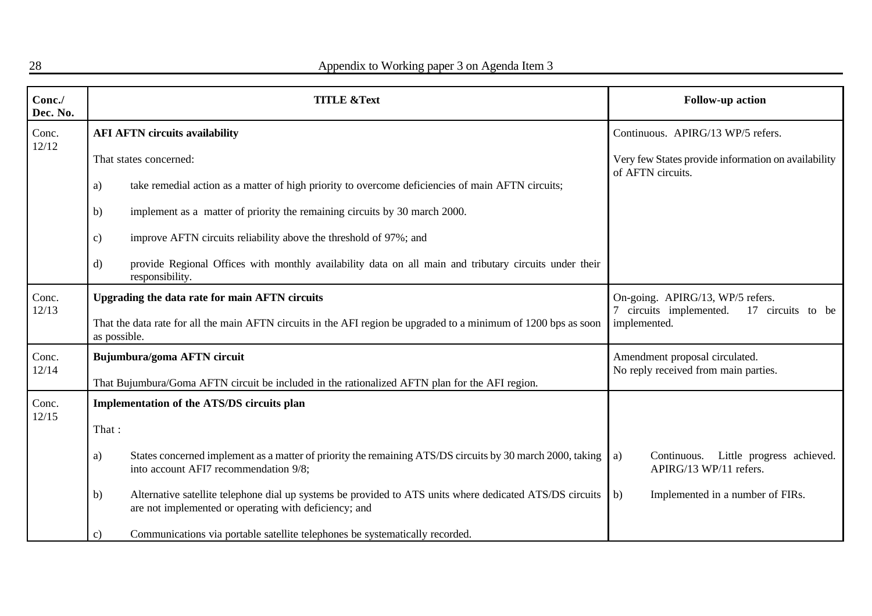| Conc./<br>Dec. No. | <b>TITLE &amp;Text</b>                                                                                                                                                  | Follow-up action                                                                                 |  |
|--------------------|-------------------------------------------------------------------------------------------------------------------------------------------------------------------------|--------------------------------------------------------------------------------------------------|--|
| Conc.<br>12/12     | <b>AFI AFTN circuits availability</b>                                                                                                                                   | Continuous. APIRG/13 WP/5 refers.                                                                |  |
|                    | That states concerned:                                                                                                                                                  | Very few States provide information on availability<br>of AFTN circuits.                         |  |
|                    | take remedial action as a matter of high priority to overcome deficiencies of main AFTN circuits;<br>a)                                                                 |                                                                                                  |  |
|                    | implement as a matter of priority the remaining circuits by 30 march 2000.<br>b)                                                                                        |                                                                                                  |  |
|                    | improve AFTN circuits reliability above the threshold of 97%; and<br>$\mathbf{c})$                                                                                      |                                                                                                  |  |
|                    | provide Regional Offices with monthly availability data on all main and tributary circuits under their<br>d)<br>responsibility.                                         |                                                                                                  |  |
| Conc.<br>12/13     | Upgrading the data rate for main AFTN circuits                                                                                                                          | On-going. APIRG/13, WP/5 refers.<br>17 circuits to be<br>7 circuits implemented.<br>implemented. |  |
|                    | That the data rate for all the main AFTN circuits in the AFI region be upgraded to a minimum of 1200 bps as soon<br>as possible.                                        |                                                                                                  |  |
| Conc.<br>12/14     | Bujumbura/goma AFTN circuit                                                                                                                                             | Amendment proposal circulated.<br>No reply received from main parties.                           |  |
|                    | That Bujumbura/Goma AFTN circuit be included in the rationalized AFTN plan for the AFI region.                                                                          |                                                                                                  |  |
| Conc.<br>12/15     | Implementation of the ATS/DS circuits plan                                                                                                                              |                                                                                                  |  |
|                    | That:                                                                                                                                                                   |                                                                                                  |  |
|                    | States concerned implement as a matter of priority the remaining ATS/DS circuits by 30 march 2000, taking<br>a)<br>into account AFI7 recommendation 9/8;                | Continuous. Little progress achieved.<br>a)<br>APIRG/13 WP/11 refers.                            |  |
|                    | Alternative satellite telephone dial up systems be provided to ATS units where dedicated ATS/DS circuits<br>b)<br>are not implemented or operating with deficiency; and | b)<br>Implemented in a number of FIRs.                                                           |  |
|                    | Communications via portable satellite telephones be systematically recorded.<br>c)                                                                                      |                                                                                                  |  |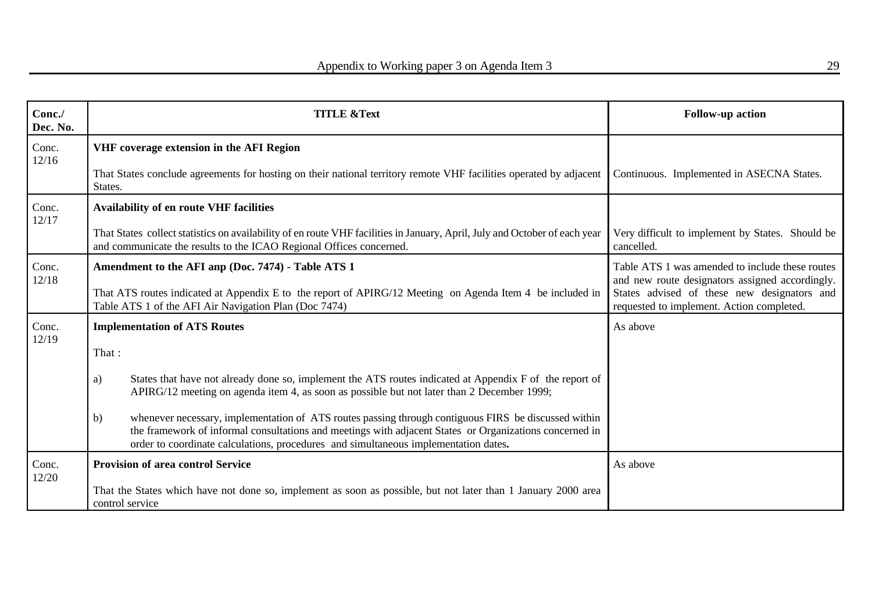| Conc./<br>Dec. No. | <b>TITLE &amp;Text</b>                                                                                                                                                                                                                                                                                       | <b>Follow-up action</b>                                                                                                                           |
|--------------------|--------------------------------------------------------------------------------------------------------------------------------------------------------------------------------------------------------------------------------------------------------------------------------------------------------------|---------------------------------------------------------------------------------------------------------------------------------------------------|
| Conc.              | VHF coverage extension in the AFI Region                                                                                                                                                                                                                                                                     |                                                                                                                                                   |
| 12/16              | That States conclude agreements for hosting on their national territory remote VHF facilities operated by adjacent<br>States.                                                                                                                                                                                | Continuous. Implemented in ASECNA States.                                                                                                         |
| Conc.<br>12/17     | <b>Availability of en route VHF facilities</b>                                                                                                                                                                                                                                                               |                                                                                                                                                   |
|                    | That States collect statistics on availability of en route VHF facilities in January, April, July and October of each year<br>and communicate the results to the ICAO Regional Offices concerned.                                                                                                            | Very difficult to implement by States. Should be<br>cancelled.                                                                                    |
| Conc.<br>12/18     | Amendment to the AFI anp (Doc. 7474) - Table ATS 1<br>That ATS routes indicated at Appendix E to the report of APIRG/12 Meeting on Agenda Item 4 be included in                                                                                                                                              | Table ATS 1 was amended to include these routes<br>and new route designators assigned accordingly.<br>States advised of these new designators and |
|                    | Table ATS 1 of the AFI Air Navigation Plan (Doc 7474)                                                                                                                                                                                                                                                        | requested to implement. Action completed.                                                                                                         |
| Conc.<br>12/19     | <b>Implementation of ATS Routes</b>                                                                                                                                                                                                                                                                          | As above                                                                                                                                          |
|                    | That:                                                                                                                                                                                                                                                                                                        |                                                                                                                                                   |
|                    | States that have not already done so, implement the ATS routes indicated at Appendix F of the report of<br>a)<br>APIRG/12 meeting on agenda item 4, as soon as possible but not later than 2 December 1999;                                                                                                  |                                                                                                                                                   |
|                    | whenever necessary, implementation of ATS routes passing through contiguous FIRS be discussed within<br>b)<br>the framework of informal consultations and meetings with adjacent States or Organizations concerned in<br>order to coordinate calculations, procedures and simultaneous implementation dates. |                                                                                                                                                   |
| Conc.<br>12/20     | <b>Provision of area control Service</b>                                                                                                                                                                                                                                                                     | As above                                                                                                                                          |
|                    | That the States which have not done so, implement as soon as possible, but not later than 1 January 2000 area<br>control service                                                                                                                                                                             |                                                                                                                                                   |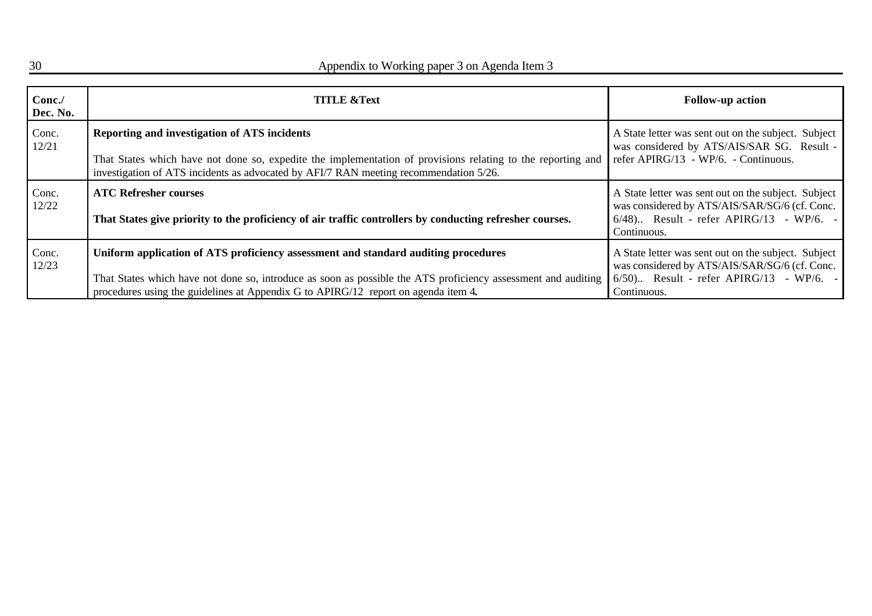| Conc.<br>Dec. No. | <b>TITLE &amp;Text</b>                                                                                                                                                                                                                                                                    | <b>Follow-up action</b>                                                                                                                                         |
|-------------------|-------------------------------------------------------------------------------------------------------------------------------------------------------------------------------------------------------------------------------------------------------------------------------------------|-----------------------------------------------------------------------------------------------------------------------------------------------------------------|
| Conc.<br>12/21    | Reporting and investigation of ATS incidents<br>That States which have not done so, expedite the implementation of provisions relating to the reporting and<br>investigation of ATS incidents as advocated by AFI/7 RAN meeting recommendation 5/26.                                      | A State letter was sent out on the subject. Subject<br>was considered by ATS/AIS/SAR SG. Result -<br>refer APIRG/13 - WP/6. - Continuous.                       |
| Conc.<br>12/22    | <b>ATC Refresher courses</b><br>That States give priority to the proficiency of air traffic controllers by conducting refresher courses.                                                                                                                                                  | A State letter was sent out on the subject. Subject<br>was considered by ATS/AIS/SAR/SG/6 (cf. Conc.<br>$6/48$ Result - refer APIRG/13 - WP/6. -<br>Continuous. |
| Conc.<br>12/23    | Uniform application of ATS proficiency assessment and standard auditing procedures<br>That States which have not done so, introduce as soon as possible the ATS proficiency assessment and auditing<br>procedures using the guidelines at Appendix G to APIRG/12 report on agenda item 4. | A State letter was sent out on the subject. Subject<br>was considered by ATS/AIS/SAR/SG/6 (cf. Conc.<br>$6/50$ Result - refer APIRG/13 - WP/6. -<br>Continuous. |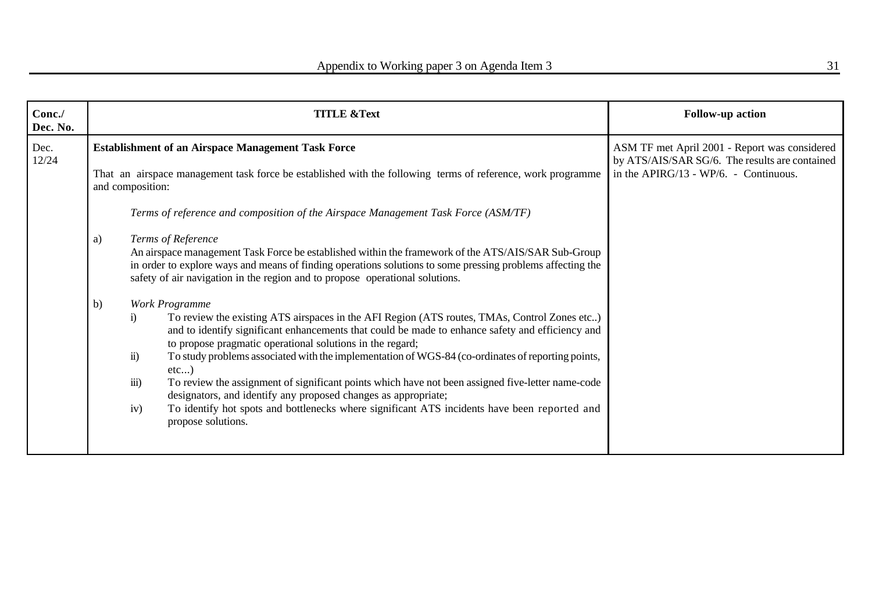| Conc./<br>Dec. No. |          | <b>TITLE &amp;Text</b>                                                                                                                                                                                                                                                                                                                                                                                                                                                                                                                                                                                                                                                                                                                                                                                                                                                                                                                                                                                                                                                                                                                                                          | <b>Follow-up action</b>                                                                                                                  |
|--------------------|----------|---------------------------------------------------------------------------------------------------------------------------------------------------------------------------------------------------------------------------------------------------------------------------------------------------------------------------------------------------------------------------------------------------------------------------------------------------------------------------------------------------------------------------------------------------------------------------------------------------------------------------------------------------------------------------------------------------------------------------------------------------------------------------------------------------------------------------------------------------------------------------------------------------------------------------------------------------------------------------------------------------------------------------------------------------------------------------------------------------------------------------------------------------------------------------------|------------------------------------------------------------------------------------------------------------------------------------------|
| Dec.<br>12/24      |          | <b>Establishment of an Airspace Management Task Force</b><br>That an airspace management task force be established with the following terms of reference, work programme<br>and composition:                                                                                                                                                                                                                                                                                                                                                                                                                                                                                                                                                                                                                                                                                                                                                                                                                                                                                                                                                                                    | ASM TF met April 2001 - Report was considered<br>by ATS/AIS/SAR SG/6. The results are contained<br>in the APIRG/13 - WP/6. - Continuous. |
|                    | a)<br>b) | Terms of reference and composition of the Airspace Management Task Force (ASM/TF)<br>Terms of Reference<br>An airspace management Task Force be established within the framework of the ATS/AIS/SAR Sub-Group<br>in order to explore ways and means of finding operations solutions to some pressing problems affecting the<br>safety of air navigation in the region and to propose operational solutions.<br>Work Programme<br>To review the existing ATS airspaces in the AFI Region (ATS routes, TMAs, Control Zones etc)<br>$\ddot{1}$<br>and to identify significant enhancements that could be made to enhance safety and efficiency and<br>to propose pragmatic operational solutions in the regard;<br>To study problems associated with the implementation of WGS-84 (co-ordinates of reporting points,<br>$\ddot{\mathbf{n}}$ )<br>$etc$ )<br>$\overline{iii}$ )<br>To review the assignment of significant points which have not been assigned five-letter name-code<br>designators, and identify any proposed changes as appropriate;<br>To identify hot spots and bottlenecks where significant ATS incidents have been reported and<br>iv)<br>propose solutions. |                                                                                                                                          |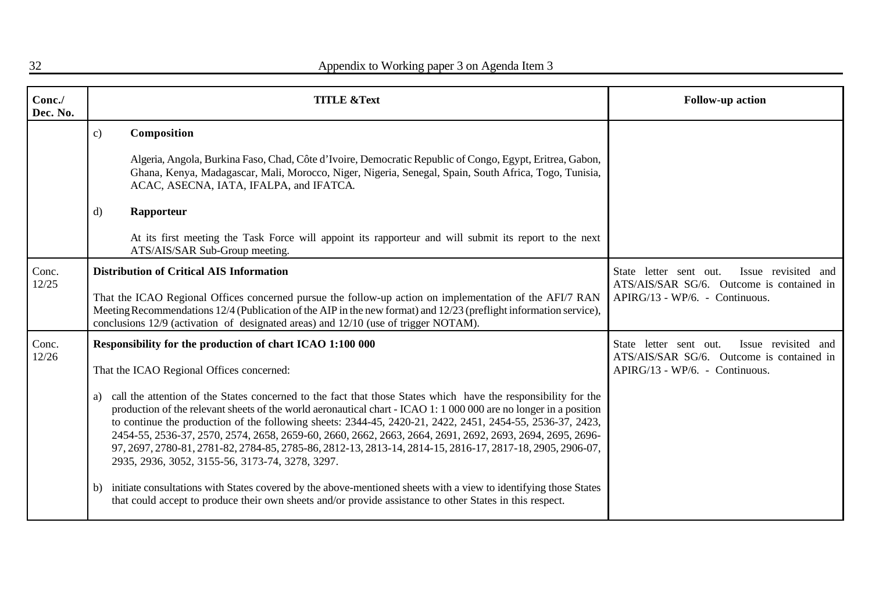| Conc./<br>Dec. No. |                                                           | <b>TITLE &amp;Text</b>                                                                                                                                                                                                                                                                                                                                                                                                                                                                                                                                                                                                       | <b>Follow-up action</b>                                                                                                      |
|--------------------|-----------------------------------------------------------|------------------------------------------------------------------------------------------------------------------------------------------------------------------------------------------------------------------------------------------------------------------------------------------------------------------------------------------------------------------------------------------------------------------------------------------------------------------------------------------------------------------------------------------------------------------------------------------------------------------------------|------------------------------------------------------------------------------------------------------------------------------|
|                    | $\mathbf{c})$                                             | Composition                                                                                                                                                                                                                                                                                                                                                                                                                                                                                                                                                                                                                  |                                                                                                                              |
|                    |                                                           | Algeria, Angola, Burkina Faso, Chad, Côte d'Ivoire, Democratic Republic of Congo, Egypt, Eritrea, Gabon,<br>Ghana, Kenya, Madagascar, Mali, Morocco, Niger, Nigeria, Senegal, Spain, South Africa, Togo, Tunisia,<br>ACAC, ASECNA, IATA, IFALPA, and IFATCA.                                                                                                                                                                                                                                                                                                                                                                 |                                                                                                                              |
|                    | d)                                                        | Rapporteur                                                                                                                                                                                                                                                                                                                                                                                                                                                                                                                                                                                                                   |                                                                                                                              |
|                    |                                                           | At its first meeting the Task Force will appoint its rapporteur and will submit its report to the next<br>ATS/AIS/SAR Sub-Group meeting.                                                                                                                                                                                                                                                                                                                                                                                                                                                                                     |                                                                                                                              |
| Conc.<br>12/25     | <b>Distribution of Critical AIS Information</b>           |                                                                                                                                                                                                                                                                                                                                                                                                                                                                                                                                                                                                                              | Issue revisited and<br>State letter sent out.<br>ATS/AIS/SAR SG/6. Outcome is contained in                                   |
|                    |                                                           | That the ICAO Regional Offices concerned pursue the follow-up action on implementation of the AFI/7 RAN<br>Meeting Recommendations 12/4 (Publication of the AIP in the new format) and 12/23 (preflight information service),<br>conclusions 12/9 (activation of designated areas) and 12/10 (use of trigger NOTAM).                                                                                                                                                                                                                                                                                                         | APIRG/13 - WP/6. - Continuous.                                                                                               |
| Conc.<br>12/26     | Responsibility for the production of chart ICAO 1:100 000 |                                                                                                                                                                                                                                                                                                                                                                                                                                                                                                                                                                                                                              | Issue revisited and<br>State letter sent out.<br>ATS/AIS/SAR SG/6. Outcome is contained in<br>APIRG/13 - WP/6. - Continuous. |
|                    | That the ICAO Regional Offices concerned:                 |                                                                                                                                                                                                                                                                                                                                                                                                                                                                                                                                                                                                                              |                                                                                                                              |
|                    | a)                                                        | call the attention of the States concerned to the fact that those States which have the responsibility for the<br>production of the relevant sheets of the world aeronautical chart - ICAO 1: 1 000 000 are no longer in a position<br>to continue the production of the following sheets: 2344-45, 2420-21, 2422, 2451, 2454-55, 2536-37, 2423,<br>2454-55, 2536-37, 2570, 2574, 2658, 2659-60, 2660, 2662, 2663, 2664, 2691, 2692, 2693, 2694, 2695, 2696-<br>97, 2697, 2780-81, 2781-82, 2784-85, 2785-86, 2812-13, 2813-14, 2814-15, 2816-17, 2817-18, 2905, 2906-07,<br>2935, 2936, 3052, 3155-56, 3173-74, 3278, 3297. |                                                                                                                              |
|                    | b)                                                        | initiate consultations with States covered by the above-mentioned sheets with a view to identifying those States<br>that could accept to produce their own sheets and/or provide assistance to other States in this respect.                                                                                                                                                                                                                                                                                                                                                                                                 |                                                                                                                              |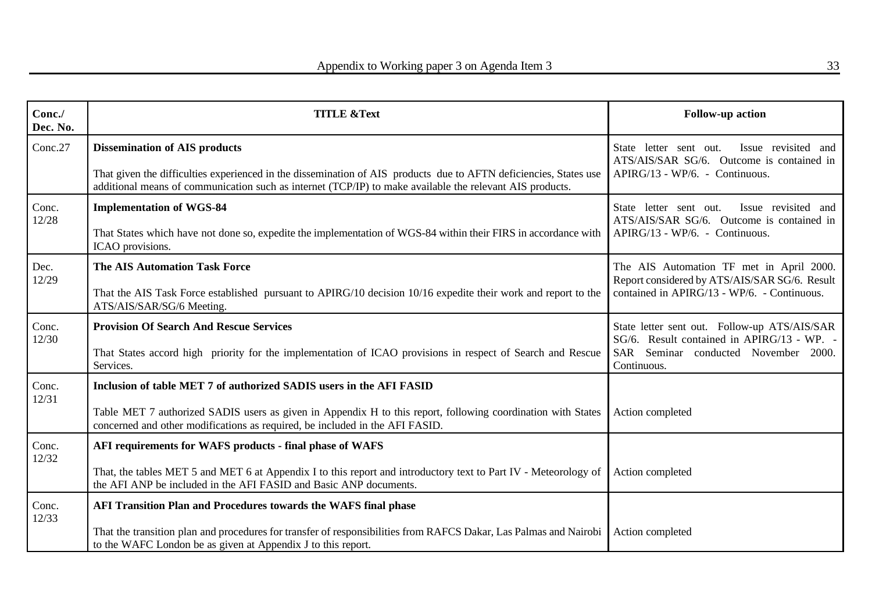| Conc./<br>Dec. No. | <b>TITLE &amp;Text</b>                                                                                                                                                                                                                                                | <b>Follow-up action</b>                                                                                                                           |
|--------------------|-----------------------------------------------------------------------------------------------------------------------------------------------------------------------------------------------------------------------------------------------------------------------|---------------------------------------------------------------------------------------------------------------------------------------------------|
| Conc.27            | <b>Dissemination of AIS products</b><br>That given the difficulties experienced in the dissemination of AIS products due to AFTN deficiencies, States use<br>additional means of communication such as internet (TCP/IP) to make available the relevant AIS products. | Issue revisited and<br>State letter sent out.<br>ATS/AIS/SAR SG/6. Outcome is contained in<br>APIRG/13 - WP/6. - Continuous.                      |
| Conc.<br>12/28     | <b>Implementation of WGS-84</b><br>That States which have not done so, expedite the implementation of WGS-84 within their FIRS in accordance with<br>ICAO provisions.                                                                                                 | Issue revisited and<br>State letter sent out.<br>ATS/AIS/SAR SG/6. Outcome is contained in<br>APIRG/13 - WP/6. - Continuous.                      |
| Dec.<br>12/29      | <b>The AIS Automation Task Force</b><br>That the AIS Task Force established pursuant to APIRG/10 decision 10/16 expedite their work and report to the<br>ATS/AIS/SAR/SG/6 Meeting.                                                                                    | The AIS Automation TF met in April 2000.<br>Report considered by ATS/AIS/SAR SG/6. Result<br>contained in APIRG/13 - WP/6. - Continuous.          |
| Conc.<br>12/30     | <b>Provision Of Search And Rescue Services</b><br>That States accord high priority for the implementation of ICAO provisions in respect of Search and Rescue<br>Services.                                                                                             | State letter sent out. Follow-up ATS/AIS/SAR<br>SG/6. Result contained in APIRG/13 - WP. -<br>SAR Seminar conducted November 2000.<br>Continuous. |
| Conc.<br>12/31     | Inclusion of table MET 7 of authorized SADIS users in the AFI FASID<br>Table MET 7 authorized SADIS users as given in Appendix H to this report, following coordination with States<br>concerned and other modifications as required, be included in the AFI FASID.   | Action completed                                                                                                                                  |
| Conc.<br>12/32     | AFI requirements for WAFS products - final phase of WAFS<br>That, the tables MET 5 and MET 6 at Appendix I to this report and introductory text to Part IV - Meteorology of<br>the AFI ANP be included in the AFI FASID and Basic ANP documents.                      | Action completed                                                                                                                                  |
| Conc.<br>12/33     | AFI Transition Plan and Procedures towards the WAFS final phase<br>That the transition plan and procedures for transfer of responsibilities from RAFCS Dakar, Las Palmas and Nairobi<br>to the WAFC London be as given at Appendix J to this report.                  | Action completed                                                                                                                                  |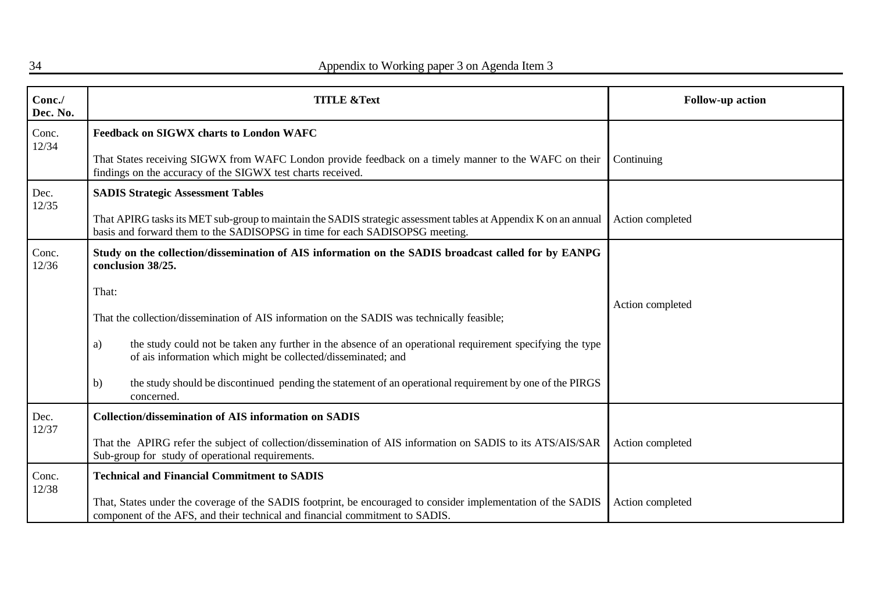| Conc./<br>Dec. No. | <b>TITLE &amp;Text</b>                                                                                                                                                                                                                     | <b>Follow-up action</b> |
|--------------------|--------------------------------------------------------------------------------------------------------------------------------------------------------------------------------------------------------------------------------------------|-------------------------|
| Conc.<br>12/34     | <b>Feedback on SIGWX charts to London WAFC</b><br>That States receiving SIGWX from WAFC London provide feedback on a timely manner to the WAFC on their                                                                                    | Continuing              |
|                    | findings on the accuracy of the SIGWX test charts received.                                                                                                                                                                                |                         |
| Dec.<br>12/35      | <b>SADIS Strategic Assessment Tables</b><br>That APIRG tasks its MET sub-group to maintain the SADIS strategic assessment tables at Appendix K on an annual<br>basis and forward them to the SADISOPSG in time for each SADISOPSG meeting. | Action completed        |
| Conc.<br>12/36     | Study on the collection/dissemination of AIS information on the SADIS broadcast called for by EANPG<br>conclusion 38/25.                                                                                                                   |                         |
|                    | That:                                                                                                                                                                                                                                      |                         |
|                    | That the collection/dissemination of AIS information on the SADIS was technically feasible;                                                                                                                                                | Action completed        |
|                    | the study could not be taken any further in the absence of an operational requirement specifying the type<br>a)<br>of ais information which might be collected/disseminated; and                                                           |                         |
|                    | the study should be discontinued pending the statement of an operational requirement by one of the PIRGS<br>b)<br>concerned.                                                                                                               |                         |
| Dec.<br>12/37      | <b>Collection/dissemination of AIS information on SADIS</b>                                                                                                                                                                                |                         |
|                    | That the APIRG refer the subject of collection/dissemination of AIS information on SADIS to its ATS/AIS/SAR<br>Sub-group for study of operational requirements.                                                                            | Action completed        |
| Conc.<br>12/38     | <b>Technical and Financial Commitment to SADIS</b>                                                                                                                                                                                         |                         |
|                    | That, States under the coverage of the SADIS footprint, be encouraged to consider implementation of the SADIS<br>component of the AFS, and their technical and financial commitment to SADIS.                                              | Action completed        |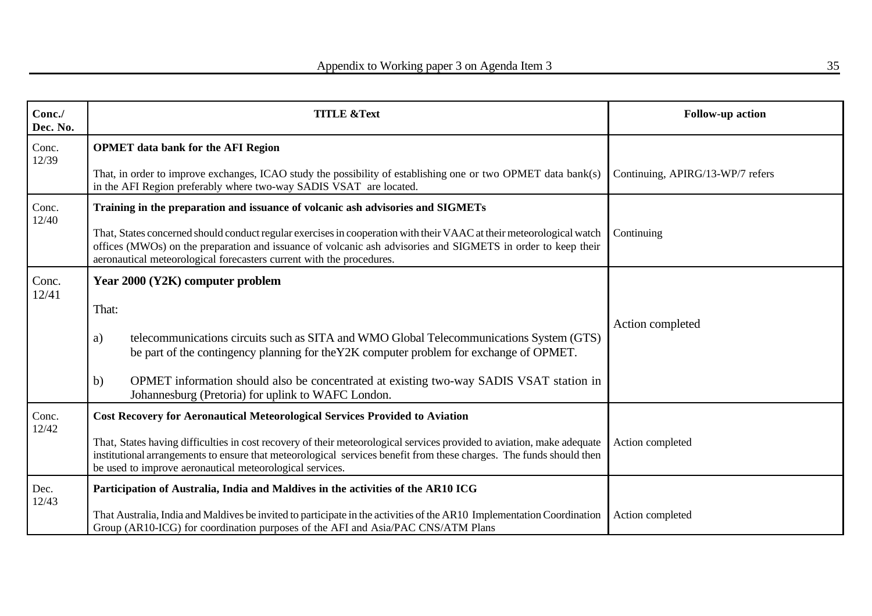| Conc./<br>Dec. No. | <b>TITLE &amp;Text</b>                                                                                                                                                                                                                                                                                       | Follow-up action                 |
|--------------------|--------------------------------------------------------------------------------------------------------------------------------------------------------------------------------------------------------------------------------------------------------------------------------------------------------------|----------------------------------|
| Conc.<br>12/39     | <b>OPMET</b> data bank for the AFI Region                                                                                                                                                                                                                                                                    |                                  |
|                    | That, in order to improve exchanges, ICAO study the possibility of establishing one or two OPMET data bank(s)<br>in the AFI Region preferably where two-way SADIS VSAT are located.                                                                                                                          | Continuing, APIRG/13-WP/7 refers |
| Conc.<br>12/40     | Training in the preparation and issuance of volcanic ash advisories and SIGMETs                                                                                                                                                                                                                              |                                  |
|                    | That, States concerned should conduct regular exercises in cooperation with their VAAC at their meteorological watch<br>offices (MWOs) on the preparation and issuance of volcanic ash advisories and SIGMETS in order to keep their<br>aeronautical meteorological forecasters current with the procedures. | Continuing                       |
| Conc.<br>12/41     | Year 2000 (Y2K) computer problem                                                                                                                                                                                                                                                                             |                                  |
|                    | That:                                                                                                                                                                                                                                                                                                        |                                  |
|                    | telecommunications circuits such as SITA and WMO Global Telecommunications System (GTS)<br>a)<br>be part of the contingency planning for the Y2K computer problem for exchange of OPMET.                                                                                                                     | Action completed                 |
|                    | OPMET information should also be concentrated at existing two-way SADIS VSAT station in<br>b)<br>Johannesburg (Pretoria) for uplink to WAFC London.                                                                                                                                                          |                                  |
| Conc.              | <b>Cost Recovery for Aeronautical Meteorological Services Provided to Aviation</b>                                                                                                                                                                                                                           |                                  |
| 12/42              | That, States having difficulties in cost recovery of their meteorological services provided to aviation, make adequate<br>institutional arrangements to ensure that meteorological services benefit from these charges. The funds should then<br>be used to improve aeronautical meteorological services.    | Action completed                 |
| Dec.               | Participation of Australia, India and Maldives in the activities of the AR10 ICG                                                                                                                                                                                                                             |                                  |
| 12/43              | That Australia, India and Maldives be invited to participate in the activities of the AR10 Implementation Coordination<br>Group (AR10-ICG) for coordination purposes of the AFI and Asia/PAC CNS/ATM Plans                                                                                                   | Action completed                 |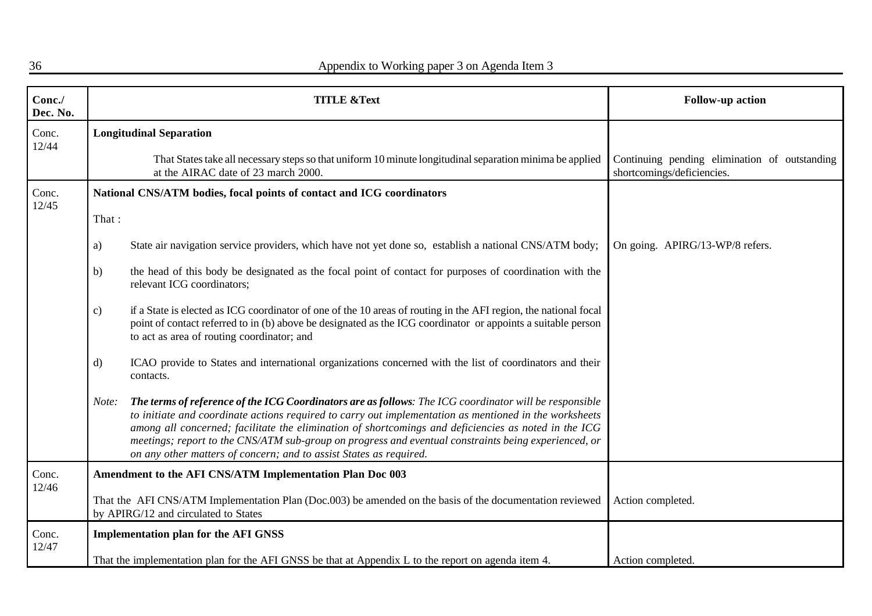| Conc./<br>Dec. No. |              | <b>TITLE &amp;Text</b>                                                                                                                                                                                                                                                                                                                                                                                                                                                                                 | Follow-up action                                                            |
|--------------------|--------------|--------------------------------------------------------------------------------------------------------------------------------------------------------------------------------------------------------------------------------------------------------------------------------------------------------------------------------------------------------------------------------------------------------------------------------------------------------------------------------------------------------|-----------------------------------------------------------------------------|
| Conc.<br>12/44     |              | <b>Longitudinal Separation</b>                                                                                                                                                                                                                                                                                                                                                                                                                                                                         |                                                                             |
|                    |              | That States take all necessary steps so that uniform 10 minute longitudinal separation minima be applied<br>at the AIRAC date of 23 march 2000.                                                                                                                                                                                                                                                                                                                                                        | Continuing pending elimination of outstanding<br>shortcomings/deficiencies. |
| Conc.<br>12/45     |              | National CNS/ATM bodies, focal points of contact and ICG coordinators                                                                                                                                                                                                                                                                                                                                                                                                                                  |                                                                             |
|                    | That:        |                                                                                                                                                                                                                                                                                                                                                                                                                                                                                                        |                                                                             |
|                    | a)           | State air navigation service providers, which have not yet done so, establish a national CNS/ATM body;                                                                                                                                                                                                                                                                                                                                                                                                 | On going. APIRG/13-WP/8 refers.                                             |
|                    | b)           | the head of this body be designated as the focal point of contact for purposes of coordination with the<br>relevant ICG coordinators;                                                                                                                                                                                                                                                                                                                                                                  |                                                                             |
|                    | c)           | if a State is elected as ICG coordinator of one of the 10 areas of routing in the AFI region, the national focal<br>point of contact referred to in (b) above be designated as the ICG coordinator or appoints a suitable person<br>to act as area of routing coordinator; and                                                                                                                                                                                                                         |                                                                             |
|                    | $\mathbf{d}$ | ICAO provide to States and international organizations concerned with the list of coordinators and their<br>contacts.                                                                                                                                                                                                                                                                                                                                                                                  |                                                                             |
|                    | Note:        | The terms of reference of the ICG Coordinators are as follows: The ICG coordinator will be responsible<br>to initiate and coordinate actions required to carry out implementation as mentioned in the worksheets<br>among all concerned; facilitate the elimination of shortcomings and deficiencies as noted in the ICG<br>meetings; report to the CNS/ATM sub-group on progress and eventual constraints being experienced, or<br>on any other matters of concern; and to assist States as required. |                                                                             |
| Conc.<br>12/46     |              | Amendment to the AFI CNS/ATM Implementation Plan Doc 003                                                                                                                                                                                                                                                                                                                                                                                                                                               |                                                                             |
|                    |              | That the AFI CNS/ATM Implementation Plan (Doc.003) be amended on the basis of the documentation reviewed<br>by APIRG/12 and circulated to States                                                                                                                                                                                                                                                                                                                                                       | Action completed.                                                           |
| Conc.<br>12/47     |              | <b>Implementation plan for the AFI GNSS</b>                                                                                                                                                                                                                                                                                                                                                                                                                                                            |                                                                             |
|                    |              | That the implementation plan for the AFI GNSS be that at Appendix L to the report on agenda item 4.                                                                                                                                                                                                                                                                                                                                                                                                    | Action completed.                                                           |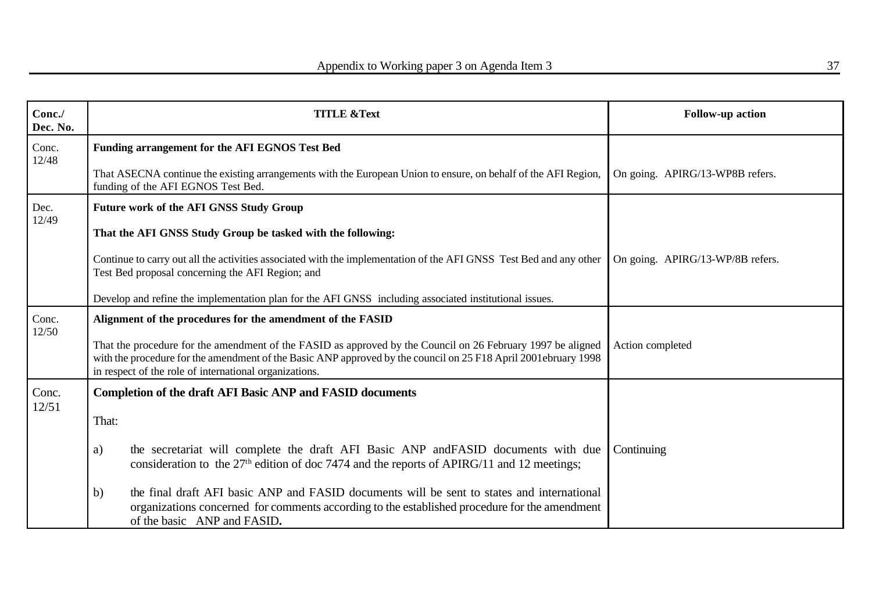| Conc./<br>Dec. No. | <b>TITLE &amp;Text</b>                                                                                                                                                                                                                                                                  | <b>Follow-up action</b>          |
|--------------------|-----------------------------------------------------------------------------------------------------------------------------------------------------------------------------------------------------------------------------------------------------------------------------------------|----------------------------------|
| Conc.              | Funding arrangement for the AFI EGNOS Test Bed                                                                                                                                                                                                                                          |                                  |
| 12/48              | That ASECNA continue the existing arrangements with the European Union to ensure, on behalf of the AFI Region,<br>funding of the AFI EGNOS Test Bed.                                                                                                                                    | On going. APIRG/13-WP8B refers.  |
| Dec.<br>12/49      | <b>Future work of the AFI GNSS Study Group</b>                                                                                                                                                                                                                                          |                                  |
|                    | That the AFI GNSS Study Group be tasked with the following:                                                                                                                                                                                                                             |                                  |
|                    | Continue to carry out all the activities associated with the implementation of the AFI GNSS Test Bed and any other<br>Test Bed proposal concerning the AFI Region; and                                                                                                                  | On going. APIRG/13-WP/8B refers. |
|                    | Develop and refine the implementation plan for the AFI GNSS including associated institutional issues.                                                                                                                                                                                  |                                  |
| Conc.<br>12/50     | Alignment of the procedures for the amendment of the FASID                                                                                                                                                                                                                              |                                  |
|                    | That the procedure for the amendment of the FASID as approved by the Council on 26 February 1997 be aligned<br>with the procedure for the amendment of the Basic ANP approved by the council on 25 F18 April 2001ebruary 1998<br>in respect of the role of international organizations. | Action completed                 |
| Conc.              | <b>Completion of the draft AFI Basic ANP and FASID documents</b>                                                                                                                                                                                                                        |                                  |
| 12/51              | That:                                                                                                                                                                                                                                                                                   |                                  |
|                    | the secretariat will complete the draft AFI Basic ANP and FASID documents with due<br>a)<br>consideration to the 27 <sup>th</sup> edition of doc 7474 and the reports of APIRG/11 and 12 meetings;                                                                                      | Continuing                       |
|                    | the final draft AFI basic ANP and FASID documents will be sent to states and international<br>b)<br>organizations concerned for comments according to the established procedure for the amendment<br>of the basic ANP and FASID.                                                        |                                  |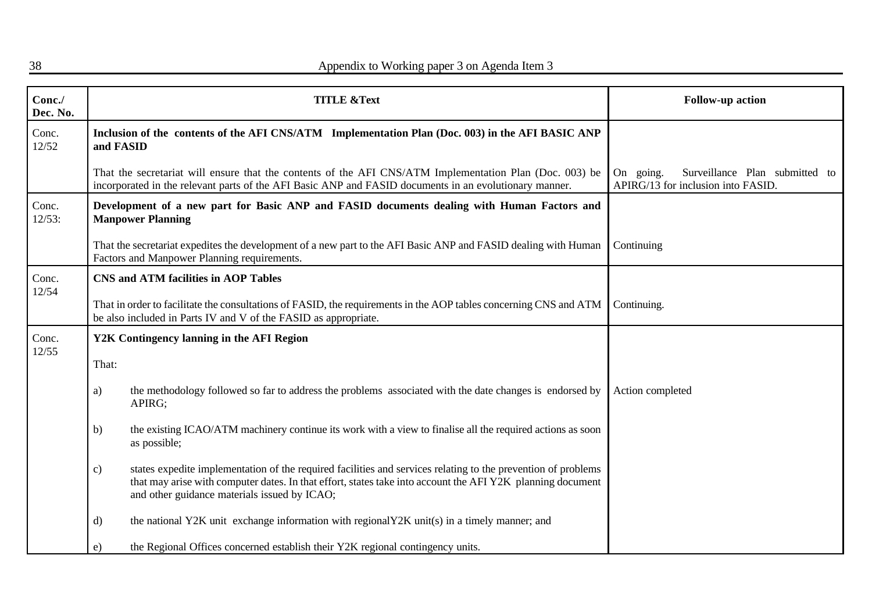| Conc./<br>Dec. No. | <b>TITLE &amp;Text</b>                                                                                                                                                                                                                                                                       | Follow-up action                                                                     |
|--------------------|----------------------------------------------------------------------------------------------------------------------------------------------------------------------------------------------------------------------------------------------------------------------------------------------|--------------------------------------------------------------------------------------|
| Conc.<br>12/52     | Inclusion of the contents of the AFI CNS/ATM Implementation Plan (Doc. 003) in the AFI BASIC ANP<br>and FASID                                                                                                                                                                                |                                                                                      |
|                    | That the secretariat will ensure that the contents of the AFI CNS/ATM Implementation Plan (Doc. 003) be<br>incorporated in the relevant parts of the AFI Basic ANP and FASID documents in an evolutionary manner.                                                                            | going.<br>Surveillance Plan submitted to<br>On<br>APIRG/13 for inclusion into FASID. |
| Conc.<br>12/53:    | Development of a new part for Basic ANP and FASID documents dealing with Human Factors and<br><b>Manpower Planning</b>                                                                                                                                                                       |                                                                                      |
|                    | That the secretariat expedites the development of a new part to the AFI Basic ANP and FASID dealing with Human<br>Factors and Manpower Planning requirements.                                                                                                                                | Continuing                                                                           |
| Conc.<br>12/54     | <b>CNS and ATM facilities in AOP Tables</b>                                                                                                                                                                                                                                                  |                                                                                      |
|                    | That in order to facilitate the consultations of FASID, the requirements in the AOP tables concerning CNS and ATM<br>be also included in Parts IV and V of the FASID as appropriate.                                                                                                         | Continuing.                                                                          |
| Conc.<br>12/55     | Y2K Contingency lanning in the AFI Region                                                                                                                                                                                                                                                    |                                                                                      |
|                    | That:                                                                                                                                                                                                                                                                                        |                                                                                      |
|                    | the methodology followed so far to address the problems associated with the date changes is endorsed by<br>a)<br>APIRG;                                                                                                                                                                      | Action completed                                                                     |
|                    | the existing ICAO/ATM machinery continue its work with a view to finalise all the required actions as soon<br>b)<br>as possible;                                                                                                                                                             |                                                                                      |
|                    | states expedite implementation of the required facilities and services relating to the prevention of problems<br>$\mathbf{c})$<br>that may arise with computer dates. In that effort, states take into account the AFI Y2K planning document<br>and other guidance materials issued by ICAO; |                                                                                      |
|                    | the national Y2K unit exchange information with regionalY2K unit(s) in a timely manner; and<br>$\mathbf{d}$                                                                                                                                                                                  |                                                                                      |
|                    | the Regional Offices concerned establish their Y2K regional contingency units.<br>e)                                                                                                                                                                                                         |                                                                                      |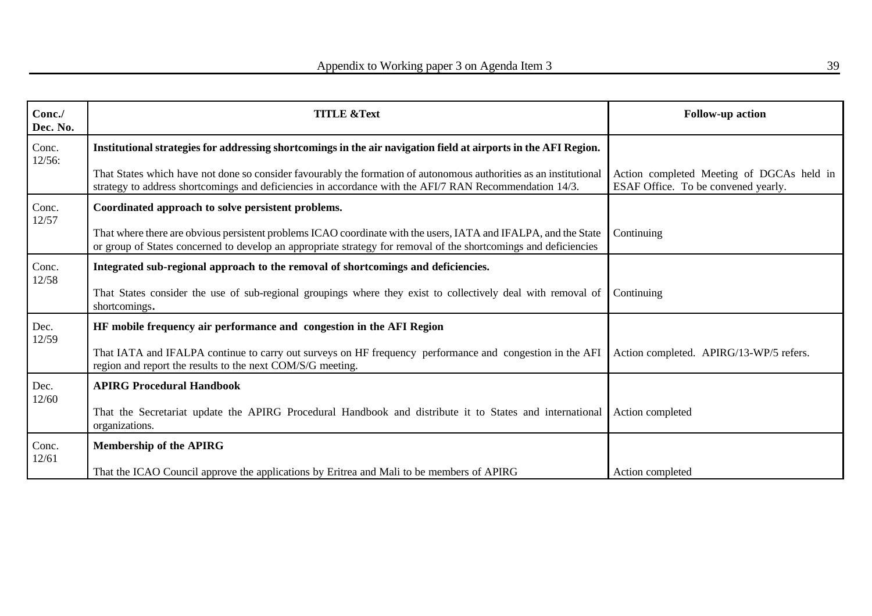| Conc./<br>Dec. No. | <b>TITLE &amp;Text</b>                                                                                                                                                                                                              | <b>Follow-up action</b>                                                          |
|--------------------|-------------------------------------------------------------------------------------------------------------------------------------------------------------------------------------------------------------------------------------|----------------------------------------------------------------------------------|
| Conc.<br>12/56:    | Institutional strategies for addressing shortcomings in the air navigation field at airports in the AFI Region.                                                                                                                     |                                                                                  |
|                    | That States which have not done so consider favourably the formation of autonomous authorities as an institutional<br>strategy to address shortcomings and deficiencies in accordance with the AFI/7 RAN Recommendation 14/3.       | Action completed Meeting of DGCAs held in<br>ESAF Office. To be convened yearly. |
| Conc.<br>12/57     | Coordinated approach to solve persistent problems.                                                                                                                                                                                  |                                                                                  |
|                    | That where there are obvious persistent problems ICAO coordinate with the users, IATA and IFALPA, and the State<br>or group of States concerned to develop an appropriate strategy for removal of the shortcomings and deficiencies | Continuing                                                                       |
| Conc.<br>12/58     | Integrated sub-regional approach to the removal of shortcomings and deficiencies.                                                                                                                                                   |                                                                                  |
|                    | That States consider the use of sub-regional groupings where they exist to collectively deal with removal of<br>shortcomings.                                                                                                       | Continuing                                                                       |
| Dec.<br>12/59      | HF mobile frequency air performance and congestion in the AFI Region                                                                                                                                                                |                                                                                  |
|                    | That IATA and IFALPA continue to carry out surveys on HF frequency performance and congestion in the AFI<br>region and report the results to the next COM/S/G meeting.                                                              | Action completed. APIRG/13-WP/5 refers.                                          |
| Dec.<br>12/60      | <b>APIRG Procedural Handbook</b>                                                                                                                                                                                                    |                                                                                  |
|                    | That the Secretariat update the APIRG Procedural Handbook and distribute it to States and international<br>organizations.                                                                                                           | Action completed                                                                 |
| Conc.              | <b>Membership of the APIRG</b>                                                                                                                                                                                                      |                                                                                  |
| 12/61              | That the ICAO Council approve the applications by Eritrea and Mali to be members of APIRG                                                                                                                                           | Action completed                                                                 |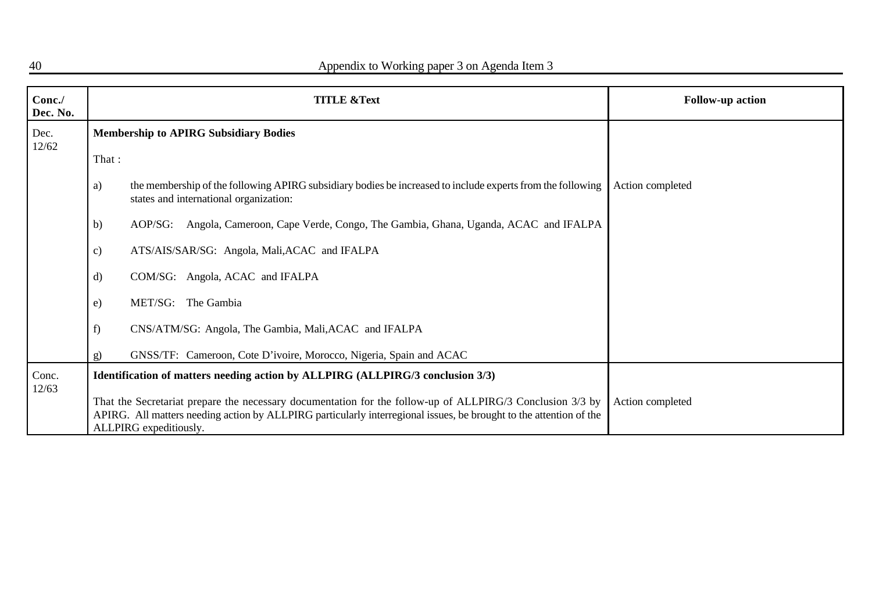| Conc./<br>Dec. No. |              | <b>TITLE &amp;Text</b>                                                                                                                                                                                                                                    | <b>Follow-up action</b> |
|--------------------|--------------|-----------------------------------------------------------------------------------------------------------------------------------------------------------------------------------------------------------------------------------------------------------|-------------------------|
| Dec.<br>12/62      |              | <b>Membership to APIRG Subsidiary Bodies</b>                                                                                                                                                                                                              |                         |
|                    | That:        |                                                                                                                                                                                                                                                           |                         |
|                    | a)           | the membership of the following APIRG subsidiary bodies be increased to include experts from the following<br>states and international organization:                                                                                                      | Action completed        |
|                    | b)           | Angola, Cameroon, Cape Verde, Congo, The Gambia, Ghana, Uganda, ACAC and IFALPA<br>$AOP/SG$ :                                                                                                                                                             |                         |
|                    | c)           | ATS/AIS/SAR/SG: Angola, Mali, ACAC and IFALPA                                                                                                                                                                                                             |                         |
|                    | $\mathbf{d}$ | COM/SG: Angola, ACAC and IFALPA                                                                                                                                                                                                                           |                         |
|                    | e)           | MET/SG: The Gambia                                                                                                                                                                                                                                        |                         |
|                    | f)           | CNS/ATM/SG: Angola, The Gambia, Mali, ACAC and IFALPA                                                                                                                                                                                                     |                         |
|                    | g)           | GNSS/TF: Cameroon, Cote D'ivoire, Morocco, Nigeria, Spain and ACAC                                                                                                                                                                                        |                         |
| Conc.<br>12/63     |              | Identification of matters needing action by ALLPIRG (ALLPIRG/3 conclusion 3/3)                                                                                                                                                                            |                         |
|                    |              | That the Secretariat prepare the necessary documentation for the follow-up of ALLPIRG/3 Conclusion 3/3 by<br>APIRG. All matters needing action by ALLPIRG particularly interregional issues, be brought to the attention of the<br>ALLPIRG expeditiously. | Action completed        |